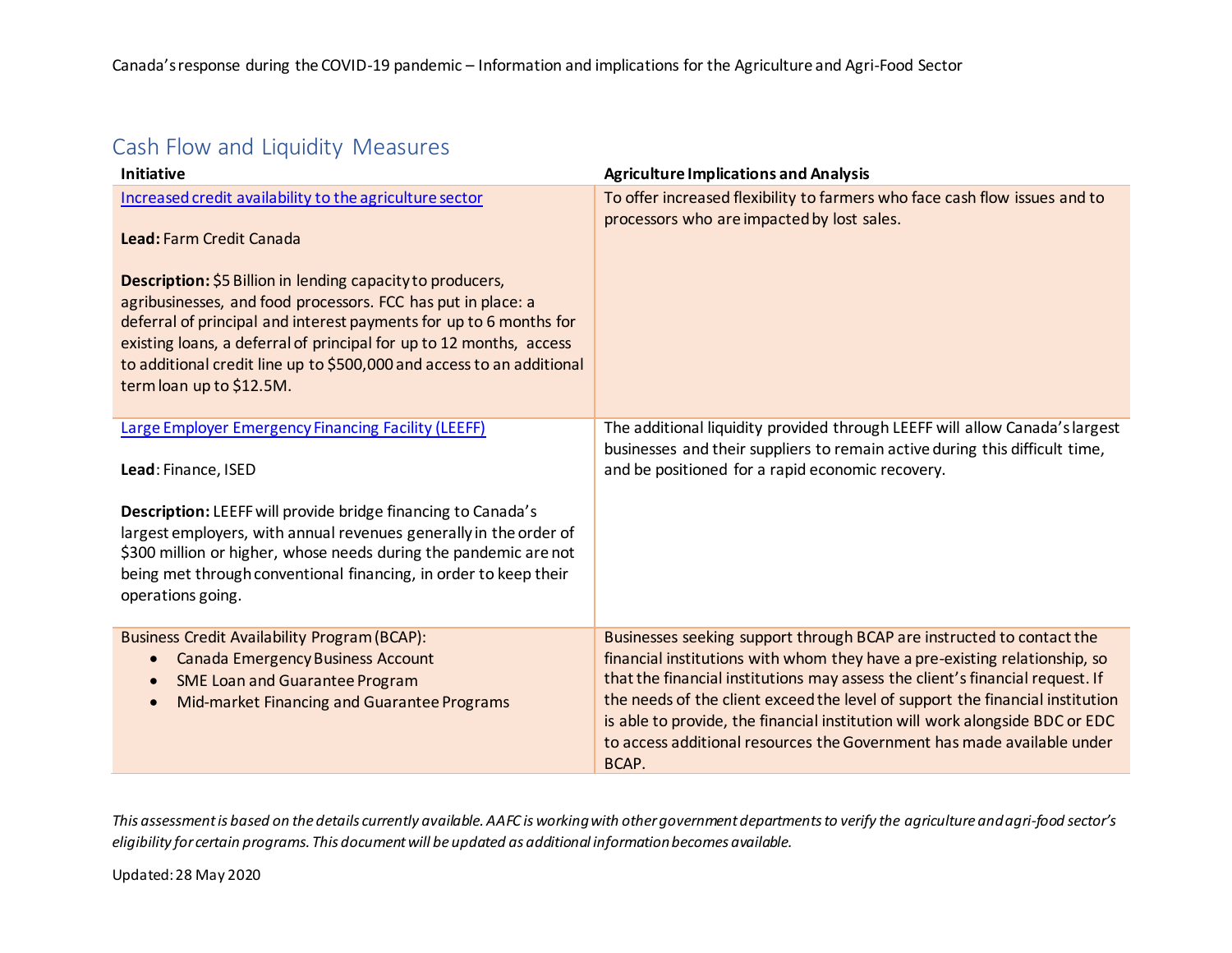# Cash Flow and Liquidity Measures

| <b>Initiative</b>                                                                                                                                                                                                                                                                                                                                                            | <b>Agriculture Implications and Analysis</b>                                                                                                                                                                                                                                                                                                                                                                                                                                             |
|------------------------------------------------------------------------------------------------------------------------------------------------------------------------------------------------------------------------------------------------------------------------------------------------------------------------------------------------------------------------------|------------------------------------------------------------------------------------------------------------------------------------------------------------------------------------------------------------------------------------------------------------------------------------------------------------------------------------------------------------------------------------------------------------------------------------------------------------------------------------------|
| Increased credit availability to the agriculture sector<br>Lead: Farm Credit Canada                                                                                                                                                                                                                                                                                          | To offer increased flexibility to farmers who face cash flow issues and to<br>processors who are impacted by lost sales.                                                                                                                                                                                                                                                                                                                                                                 |
| Description: \$5 Billion in lending capacity to producers,<br>agribusinesses, and food processors. FCC has put in place: a<br>deferral of principal and interest payments for up to 6 months for<br>existing loans, a deferral of principal for up to 12 months, access<br>to additional credit line up to \$500,000 and access to an additional<br>term loan up to \$12.5M. |                                                                                                                                                                                                                                                                                                                                                                                                                                                                                          |
| <b>Large Employer Emergency Financing Facility (LEEFF)</b><br>Lead: Finance, ISED                                                                                                                                                                                                                                                                                            | The additional liquidity provided through LEEFF will allow Canada's largest<br>businesses and their suppliers to remain active during this difficult time,<br>and be positioned for a rapid economic recovery.                                                                                                                                                                                                                                                                           |
| Description: LEEFF will provide bridge financing to Canada's<br>largest employers, with annual revenues generally in the order of<br>\$300 million or higher, whose needs during the pandemic are not<br>being met through conventional financing, in order to keep their<br>operations going.                                                                               |                                                                                                                                                                                                                                                                                                                                                                                                                                                                                          |
| <b>Business Credit Availability Program (BCAP):</b><br><b>Canada Emergency Business Account</b><br>$\bullet$<br><b>SME Loan and Guarantee Program</b><br>$\bullet$<br>Mid-market Financing and Guarantee Programs                                                                                                                                                            | Businesses seeking support through BCAP are instructed to contact the<br>financial institutions with whom they have a pre-existing relationship, so<br>that the financial institutions may assess the client's financial request. If<br>the needs of the client exceed the level of support the financial institution<br>is able to provide, the financial institution will work alongside BDC or EDC<br>to access additional resources the Government has made available under<br>BCAP. |

This assessment is based on the details currently available. AAFC is working with other government departments to verify the agriculture and agri-food sector's *eligibility for certain programs. This document will be updated as additional information becomes available.*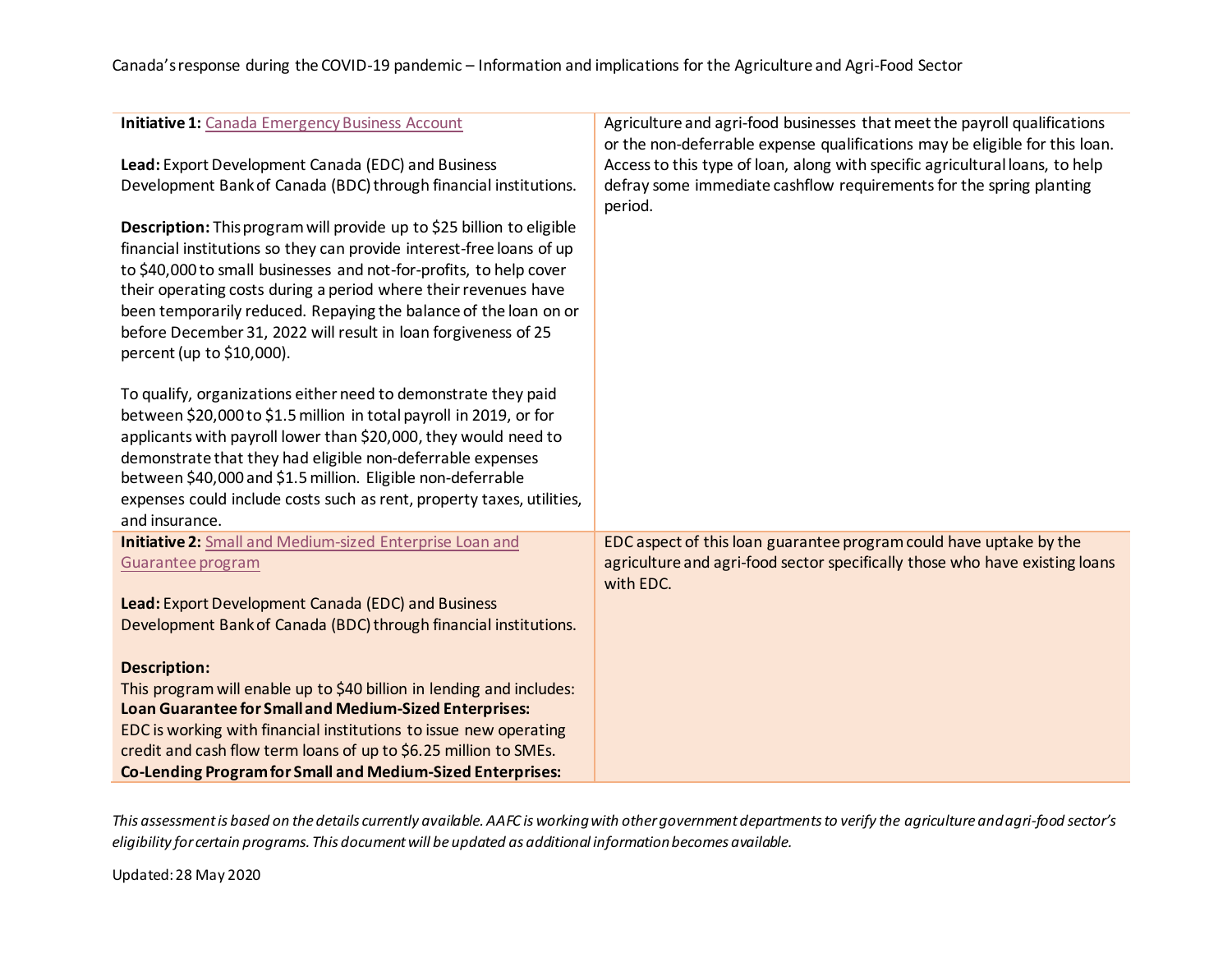| <b>Initiative 1: Canada Emergency Business Account</b>                                                                                                                                                                                                                                                                                                                                                                                                    | Agriculture and agri-food businesses that meet the payroll qualifications                                                                                                                                                                     |
|-----------------------------------------------------------------------------------------------------------------------------------------------------------------------------------------------------------------------------------------------------------------------------------------------------------------------------------------------------------------------------------------------------------------------------------------------------------|-----------------------------------------------------------------------------------------------------------------------------------------------------------------------------------------------------------------------------------------------|
| Lead: Export Development Canada (EDC) and Business<br>Development Bank of Canada (BDC) through financial institutions.                                                                                                                                                                                                                                                                                                                                    | or the non-deferrable expense qualifications may be eligible for this loan.<br>Access to this type of loan, along with specific agricultural loans, to help<br>defray some immediate cashflow requirements for the spring planting<br>period. |
| Description: This program will provide up to \$25 billion to eligible<br>financial institutions so they can provide interest-free loans of up<br>to \$40,000 to small businesses and not-for-profits, to help cover<br>their operating costs during a period where their revenues have<br>been temporarily reduced. Repaying the balance of the loan on or<br>before December 31, 2022 will result in loan forgiveness of 25<br>percent (up to \$10,000). |                                                                                                                                                                                                                                               |
| To qualify, organizations either need to demonstrate they paid<br>between \$20,000 to \$1.5 million in total payroll in 2019, or for<br>applicants with payroll lower than \$20,000, they would need to                                                                                                                                                                                                                                                   |                                                                                                                                                                                                                                               |
| demonstrate that they had eligible non-deferrable expenses<br>between \$40,000 and \$1.5 million. Eligible non-deferrable                                                                                                                                                                                                                                                                                                                                 |                                                                                                                                                                                                                                               |
| expenses could include costs such as rent, property taxes, utilities,<br>and insurance.                                                                                                                                                                                                                                                                                                                                                                   |                                                                                                                                                                                                                                               |
| <b>Initiative 2:</b> Small and Medium-sized Enterprise Loan and                                                                                                                                                                                                                                                                                                                                                                                           | EDC aspect of this loan guarantee program could have uptake by the                                                                                                                                                                            |
| Guarantee program                                                                                                                                                                                                                                                                                                                                                                                                                                         | agriculture and agri-food sector specifically those who have existing loans<br>with EDC.                                                                                                                                                      |
| Lead: Export Development Canada (EDC) and Business                                                                                                                                                                                                                                                                                                                                                                                                        |                                                                                                                                                                                                                                               |
| Development Bank of Canada (BDC) through financial institutions.                                                                                                                                                                                                                                                                                                                                                                                          |                                                                                                                                                                                                                                               |
| <b>Description:</b>                                                                                                                                                                                                                                                                                                                                                                                                                                       |                                                                                                                                                                                                                                               |
| This program will enable up to \$40 billion in lending and includes:                                                                                                                                                                                                                                                                                                                                                                                      |                                                                                                                                                                                                                                               |
| Loan Guarantee for Small and Medium-Sized Enterprises:                                                                                                                                                                                                                                                                                                                                                                                                    |                                                                                                                                                                                                                                               |
| EDC is working with financial institutions to issue new operating                                                                                                                                                                                                                                                                                                                                                                                         |                                                                                                                                                                                                                                               |
| credit and cash flow term loans of up to \$6.25 million to SMEs.                                                                                                                                                                                                                                                                                                                                                                                          |                                                                                                                                                                                                                                               |
| <b>Co-Lending Program for Small and Medium-Sized Enterprises:</b>                                                                                                                                                                                                                                                                                                                                                                                         |                                                                                                                                                                                                                                               |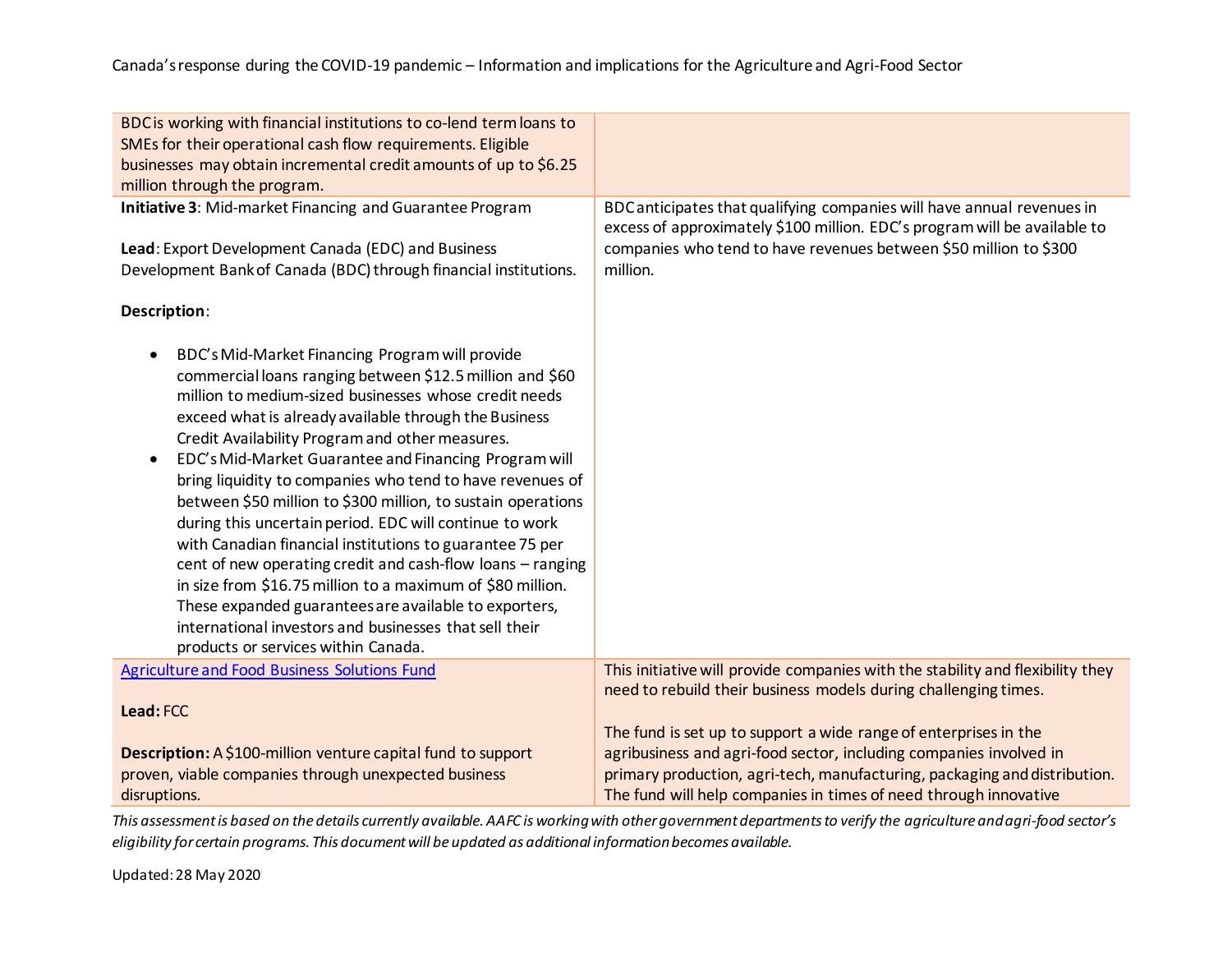| BDC is working with financial institutions to co-lend term loans to                                                                                                                                                                                                                                                                                                                                                                                                                                                                                                                                                                                                                                                                                                                                                                                                                                           |                                                                                                                                                                                                                                      |
|---------------------------------------------------------------------------------------------------------------------------------------------------------------------------------------------------------------------------------------------------------------------------------------------------------------------------------------------------------------------------------------------------------------------------------------------------------------------------------------------------------------------------------------------------------------------------------------------------------------------------------------------------------------------------------------------------------------------------------------------------------------------------------------------------------------------------------------------------------------------------------------------------------------|--------------------------------------------------------------------------------------------------------------------------------------------------------------------------------------------------------------------------------------|
| SMEs for their operational cash flow requirements. Eligible                                                                                                                                                                                                                                                                                                                                                                                                                                                                                                                                                                                                                                                                                                                                                                                                                                                   |                                                                                                                                                                                                                                      |
| businesses may obtain incremental credit amounts of up to \$6.25                                                                                                                                                                                                                                                                                                                                                                                                                                                                                                                                                                                                                                                                                                                                                                                                                                              |                                                                                                                                                                                                                                      |
| million through the program.                                                                                                                                                                                                                                                                                                                                                                                                                                                                                                                                                                                                                                                                                                                                                                                                                                                                                  |                                                                                                                                                                                                                                      |
| Initiative 3: Mid-market Financing and Guarantee Program<br>Lead: Export Development Canada (EDC) and Business<br>Development Bank of Canada (BDC) through financial institutions.                                                                                                                                                                                                                                                                                                                                                                                                                                                                                                                                                                                                                                                                                                                            | BDC anticipates that qualifying companies will have annual revenues in<br>excess of approximately \$100 million. EDC's program will be available to<br>companies who tend to have revenues between \$50 million to \$300<br>million. |
| Description:                                                                                                                                                                                                                                                                                                                                                                                                                                                                                                                                                                                                                                                                                                                                                                                                                                                                                                  |                                                                                                                                                                                                                                      |
| BDC's Mid-Market Financing Program will provide<br>$\bullet$<br>commercial loans ranging between \$12.5 million and \$60<br>million to medium-sized businesses whose credit needs<br>exceed what is already available through the Business<br>Credit Availability Program and other measures.<br>EDC's Mid-Market Guarantee and Financing Program will<br>$\bullet$<br>bring liquidity to companies who tend to have revenues of<br>between \$50 million to \$300 million, to sustain operations<br>during this uncertain period. EDC will continue to work<br>with Canadian financial institutions to guarantee 75 per<br>cent of new operating credit and cash-flow loans - ranging<br>in size from \$16.75 million to a maximum of \$80 million.<br>These expanded guarantees are available to exporters,<br>international investors and businesses that sell their<br>products or services within Canada. |                                                                                                                                                                                                                                      |
| Agriculture and Food Business Solutions Fund                                                                                                                                                                                                                                                                                                                                                                                                                                                                                                                                                                                                                                                                                                                                                                                                                                                                  | This initiative will provide companies with the stability and flexibility they<br>need to rebuild their business models during challenging times.                                                                                    |
| Lead: FCC                                                                                                                                                                                                                                                                                                                                                                                                                                                                                                                                                                                                                                                                                                                                                                                                                                                                                                     |                                                                                                                                                                                                                                      |
|                                                                                                                                                                                                                                                                                                                                                                                                                                                                                                                                                                                                                                                                                                                                                                                                                                                                                                               | The fund is set up to support a wide range of enterprises in the                                                                                                                                                                     |
| Description: A \$100-million venture capital fund to support                                                                                                                                                                                                                                                                                                                                                                                                                                                                                                                                                                                                                                                                                                                                                                                                                                                  | agribusiness and agri-food sector, including companies involved in                                                                                                                                                                   |
| proven, viable companies through unexpected business                                                                                                                                                                                                                                                                                                                                                                                                                                                                                                                                                                                                                                                                                                                                                                                                                                                          | primary production, agri-tech, manufacturing, packaging and distribution.                                                                                                                                                            |
|                                                                                                                                                                                                                                                                                                                                                                                                                                                                                                                                                                                                                                                                                                                                                                                                                                                                                                               |                                                                                                                                                                                                                                      |
| disruptions.                                                                                                                                                                                                                                                                                                                                                                                                                                                                                                                                                                                                                                                                                                                                                                                                                                                                                                  | The fund will help companies in times of need through innovative                                                                                                                                                                     |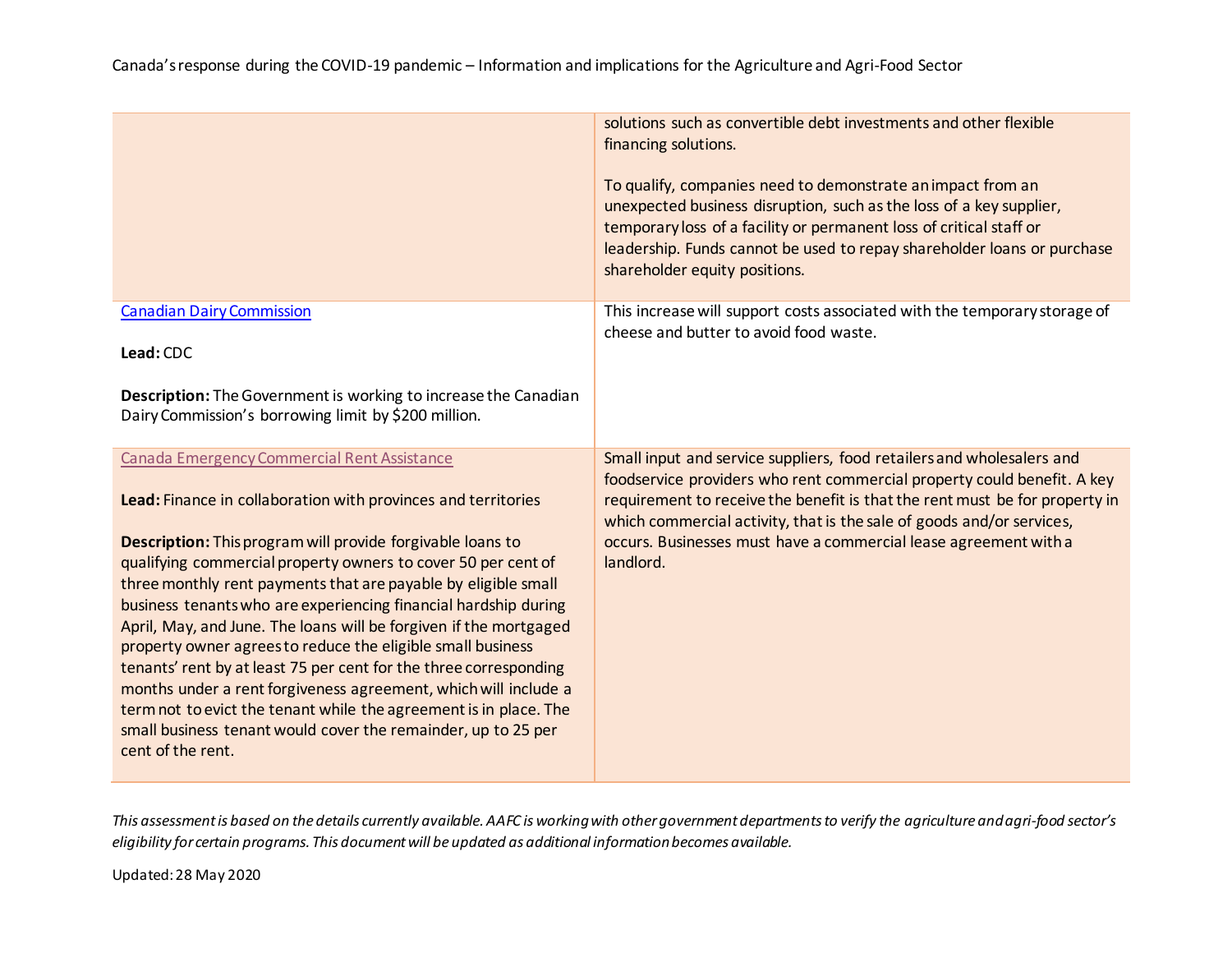Canada's response during the COVID-19 pandemic – Information and implications for the Agriculture and Agri-Food Sector

|                                                                                                                                                                                                                                                                                                                                                                                                                                                                                                                                                                                                                                                                                                                                                                                                                         | solutions such as convertible debt investments and other flexible<br>financing solutions.<br>To qualify, companies need to demonstrate an impact from an<br>unexpected business disruption, such as the loss of a key supplier,<br>temporary loss of a facility or permanent loss of critical staff or<br>leadership. Funds cannot be used to repay shareholder loans or purchase<br>shareholder equity positions. |
|-------------------------------------------------------------------------------------------------------------------------------------------------------------------------------------------------------------------------------------------------------------------------------------------------------------------------------------------------------------------------------------------------------------------------------------------------------------------------------------------------------------------------------------------------------------------------------------------------------------------------------------------------------------------------------------------------------------------------------------------------------------------------------------------------------------------------|--------------------------------------------------------------------------------------------------------------------------------------------------------------------------------------------------------------------------------------------------------------------------------------------------------------------------------------------------------------------------------------------------------------------|
| <b>Canadian Dairy Commission</b><br>Lead: CDC<br>Description: The Government is working to increase the Canadian<br>Dairy Commission's borrowing limit by \$200 million.                                                                                                                                                                                                                                                                                                                                                                                                                                                                                                                                                                                                                                                | This increase will support costs associated with the temporary storage of<br>cheese and butter to avoid food waste.                                                                                                                                                                                                                                                                                                |
| Canada Emergency Commercial Rent Assistance<br>Lead: Finance in collaboration with provinces and territories<br>Description: This program will provide forgivable loans to<br>qualifying commercial property owners to cover 50 per cent of<br>three monthly rent payments that are payable by eligible small<br>business tenants who are experiencing financial hardship during<br>April, May, and June. The loans will be forgiven if the mortgaged<br>property owner agrees to reduce the eligible small business<br>tenants' rent by at least 75 per cent for the three corresponding<br>months under a rent forgiveness agreement, which will include a<br>term not to evict the tenant while the agreement is in place. The<br>small business tenant would cover the remainder, up to 25 per<br>cent of the rent. | Small input and service suppliers, food retailers and wholesalers and<br>foodservice providers who rent commercial property could benefit. A key<br>requirement to receive the benefit is that the rent must be for property in<br>which commercial activity, that is the sale of goods and/or services,<br>occurs. Businesses must have a commercial lease agreement with a<br>landlord.                          |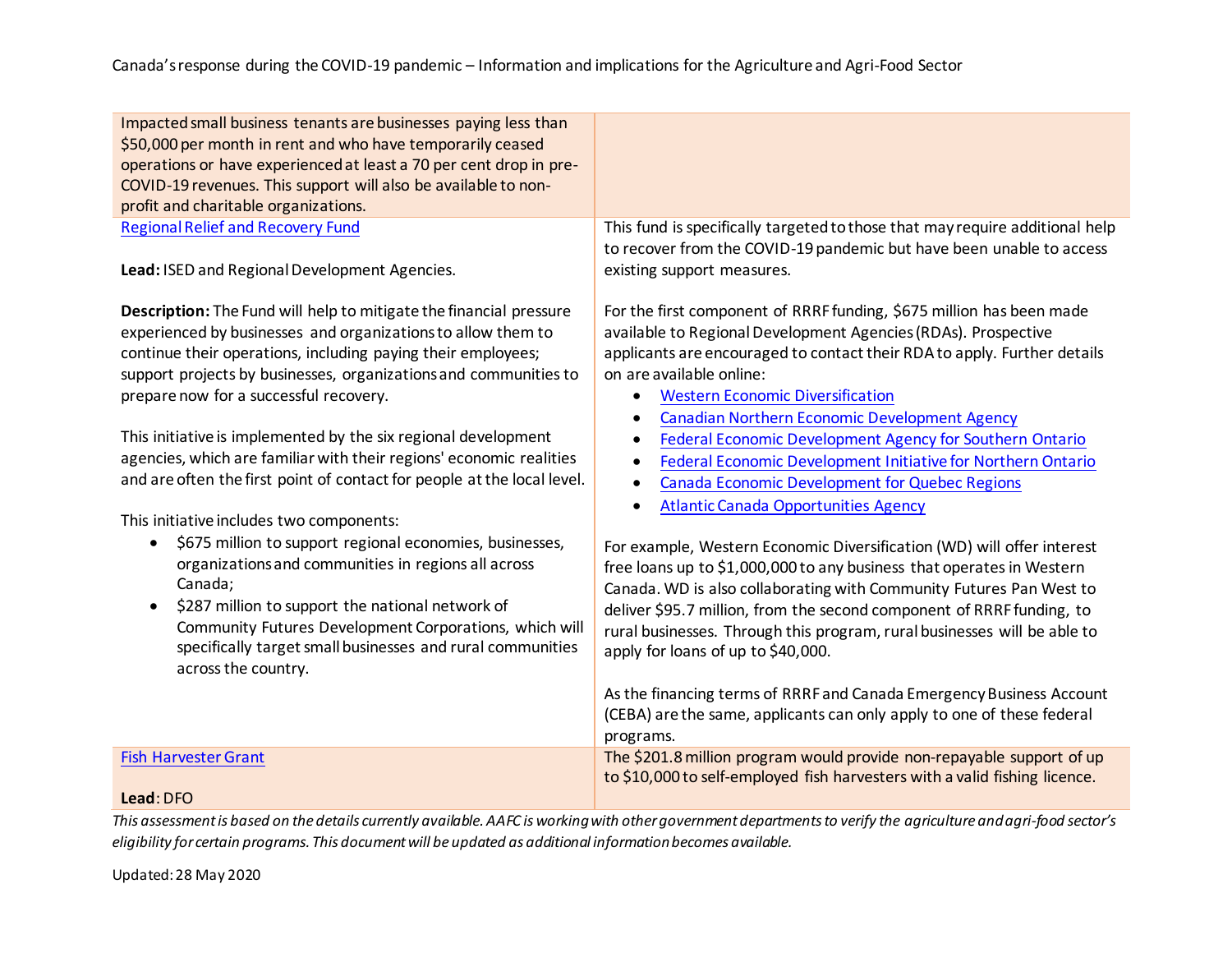| Impacted small business tenants are businesses paying less than<br>\$50,000 per month in rent and who have temporarily ceased<br>operations or have experienced at least a 70 per cent drop in pre-<br>COVID-19 revenues. This support will also be available to non-<br>profit and charitable organizations.                                                                                                                                                                                                                                                                    |                                                                                                                                                                                                                                                                                                                                                                                                                                                                                                                                                                                                                                                                            |
|----------------------------------------------------------------------------------------------------------------------------------------------------------------------------------------------------------------------------------------------------------------------------------------------------------------------------------------------------------------------------------------------------------------------------------------------------------------------------------------------------------------------------------------------------------------------------------|----------------------------------------------------------------------------------------------------------------------------------------------------------------------------------------------------------------------------------------------------------------------------------------------------------------------------------------------------------------------------------------------------------------------------------------------------------------------------------------------------------------------------------------------------------------------------------------------------------------------------------------------------------------------------|
| <b>Regional Relief and Recovery Fund</b><br>Lead: ISED and Regional Development Agencies.                                                                                                                                                                                                                                                                                                                                                                                                                                                                                        | This fund is specifically targeted to those that may require additional help<br>to recover from the COVID-19 pandemic but have been unable to access<br>existing support measures.                                                                                                                                                                                                                                                                                                                                                                                                                                                                                         |
| Description: The Fund will help to mitigate the financial pressure<br>experienced by businesses and organizations to allow them to<br>continue their operations, including paying their employees;<br>support projects by businesses, organizations and communities to<br>prepare now for a successful recovery.<br>This initiative is implemented by the six regional development<br>agencies, which are familiar with their regions' economic realities<br>and are often the first point of contact for people at the local level.<br>This initiative includes two components: | For the first component of RRRF funding, \$675 million has been made<br>available to Regional Development Agencies (RDAs). Prospective<br>applicants are encouraged to contact their RDA to apply. Further details<br>on are available online:<br><b>Western Economic Diversification</b><br>$\bullet$<br><b>Canadian Northern Economic Development Agency</b><br>$\bullet$<br><b>Federal Economic Development Agency for Southern Ontario</b><br>$\bullet$<br>Federal Economic Development Initiative for Northern Ontario<br>$\bullet$<br><b>Canada Economic Development for Quebec Regions</b><br>$\bullet$<br><b>Atlantic Canada Opportunities Agency</b><br>$\bullet$ |
| \$675 million to support regional economies, businesses,<br>organizations and communities in regions all across<br>Canada;<br>\$287 million to support the national network of<br>Community Futures Development Corporations, which will<br>specifically target small businesses and rural communities<br>across the country.                                                                                                                                                                                                                                                    | For example, Western Economic Diversification (WD) will offer interest<br>free loans up to \$1,000,000 to any business that operates in Western<br>Canada. WD is also collaborating with Community Futures Pan West to<br>deliver \$95.7 million, from the second component of RRRF funding, to<br>rural businesses. Through this program, rural businesses will be able to<br>apply for loans of up to \$40,000.<br>As the financing terms of RRRF and Canada Emergency Business Account<br>(CEBA) are the same, applicants can only apply to one of these federal<br>programs.                                                                                           |
| <b>Fish Harvester Grant</b>                                                                                                                                                                                                                                                                                                                                                                                                                                                                                                                                                      | The \$201.8 million program would provide non-repayable support of up<br>to \$10,000 to self-employed fish harvesters with a valid fishing licence.                                                                                                                                                                                                                                                                                                                                                                                                                                                                                                                        |
| Lead: DFO                                                                                                                                                                                                                                                                                                                                                                                                                                                                                                                                                                        |                                                                                                                                                                                                                                                                                                                                                                                                                                                                                                                                                                                                                                                                            |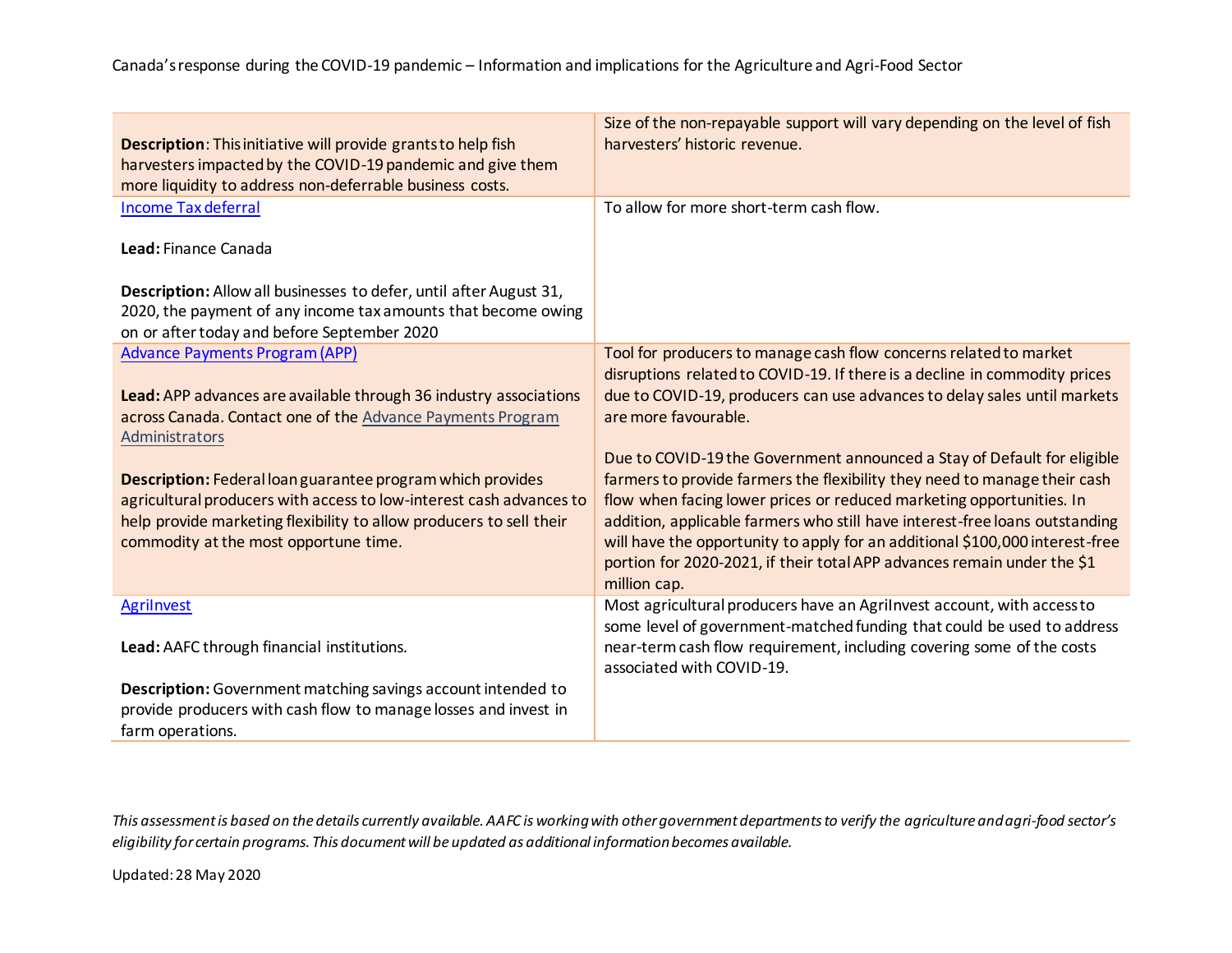| Description: This initiative will provide grants to help fish<br>harvesters impacted by the COVID-19 pandemic and give them<br>more liquidity to address non-deferrable business costs. | Size of the non-repayable support will vary depending on the level of fish<br>harvesters' historic revenue.                                                                  |
|-----------------------------------------------------------------------------------------------------------------------------------------------------------------------------------------|------------------------------------------------------------------------------------------------------------------------------------------------------------------------------|
| <b>Income Tax deferral</b>                                                                                                                                                              | To allow for more short-term cash flow.                                                                                                                                      |
| Lead: Finance Canada                                                                                                                                                                    |                                                                                                                                                                              |
| Description: Allow all businesses to defer, until after August 31,                                                                                                                      |                                                                                                                                                                              |
| 2020, the payment of any income tax amounts that become owing<br>on or after today and before September 2020                                                                            |                                                                                                                                                                              |
| <b>Advance Payments Program (APP)</b>                                                                                                                                                   | Tool for producers to manage cash flow concerns related to market<br>disruptions related to COVID-19. If there is a decline in commodity prices                              |
| Lead: APP advances are available through 36 industry associations                                                                                                                       | due to COVID-19, producers can use advances to delay sales until markets                                                                                                     |
| across Canada. Contact one of the Advance Payments Program<br>Administrators                                                                                                            | are more favourable.                                                                                                                                                         |
|                                                                                                                                                                                         | Due to COVID-19 the Government announced a Stay of Default for eligible                                                                                                      |
| Description: Federal loan guarantee program which provides<br>agricultural producers with access to low-interest cash advances to                                                       | farmers to provide farmers the flexibility they need to manage their cash<br>flow when facing lower prices or reduced marketing opportunities. In                            |
| help provide marketing flexibility to allow producers to sell their                                                                                                                     | addition, applicable farmers who still have interest-free loans outstanding                                                                                                  |
| commodity at the most opportune time.                                                                                                                                                   | will have the opportunity to apply for an additional \$100,000 interest-free                                                                                                 |
|                                                                                                                                                                                         | portion for 2020-2021, if their total APP advances remain under the \$1<br>million cap.                                                                                      |
| <b>Agrilnvest</b>                                                                                                                                                                       | Most agricultural producers have an Agrilnvest account, with access to                                                                                                       |
| Lead: AAFC through financial institutions.                                                                                                                                              | some level of government-matched funding that could be used to address<br>near-term cash flow requirement, including covering some of the costs<br>associated with COVID-19. |
| Description: Government matching savings account intended to                                                                                                                            |                                                                                                                                                                              |
| provide producers with cash flow to manage losses and invest in                                                                                                                         |                                                                                                                                                                              |
| farm operations.                                                                                                                                                                        |                                                                                                                                                                              |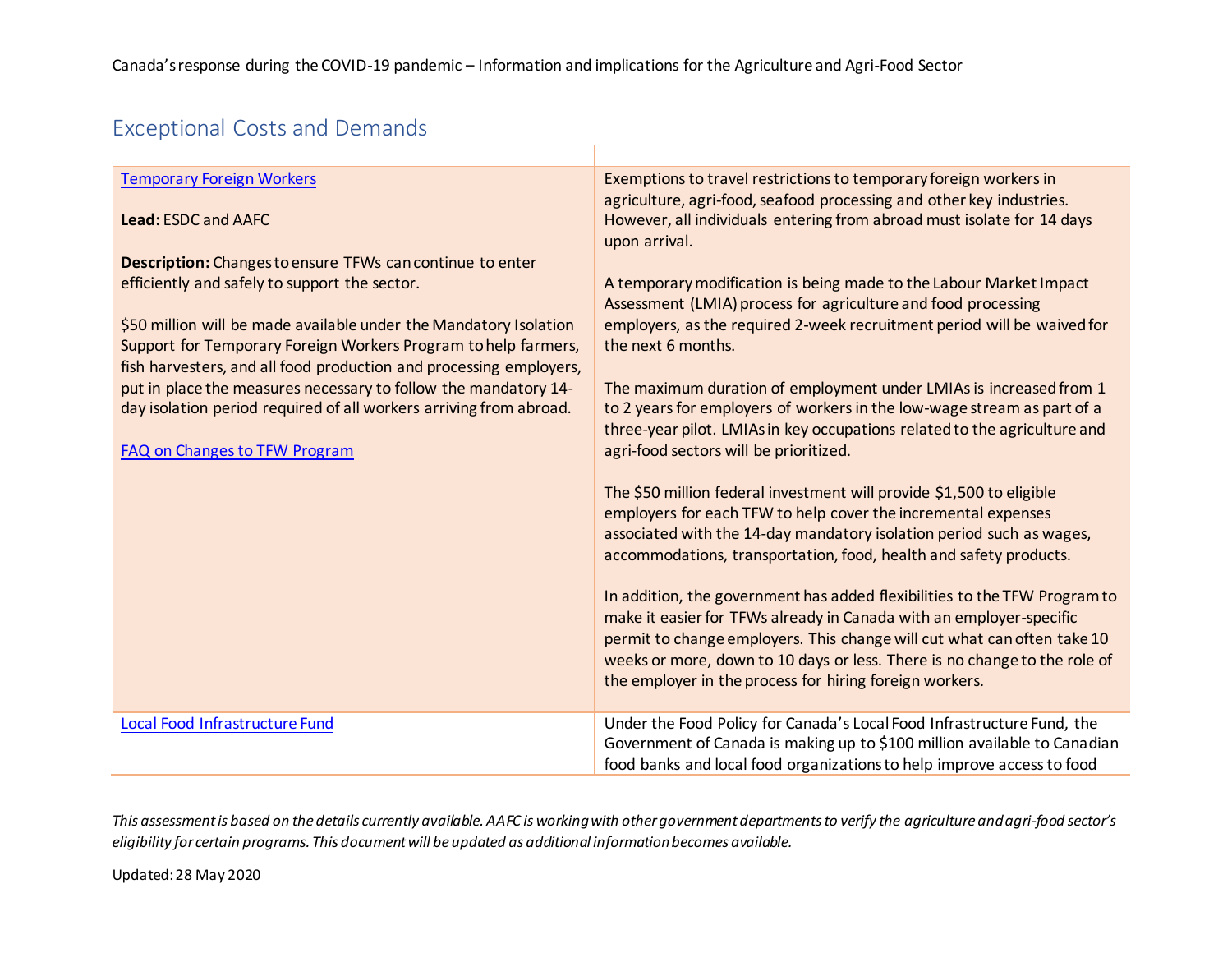# Exceptional Costs and Demands

| <b>Temporary Foreign Workers</b>                                                                                                                                                                                                                                                                                                                                                                                                                                                                         | Exemptions to travel restrictions to temporary foreign workers in<br>agriculture, agri-food, seafood processing and other key industries.                                                                                                                                                                                                                                                                                                                                                                                                                                                                                                                                                                                                                                                          |
|----------------------------------------------------------------------------------------------------------------------------------------------------------------------------------------------------------------------------------------------------------------------------------------------------------------------------------------------------------------------------------------------------------------------------------------------------------------------------------------------------------|----------------------------------------------------------------------------------------------------------------------------------------------------------------------------------------------------------------------------------------------------------------------------------------------------------------------------------------------------------------------------------------------------------------------------------------------------------------------------------------------------------------------------------------------------------------------------------------------------------------------------------------------------------------------------------------------------------------------------------------------------------------------------------------------------|
| Lead: ESDC and AAFC                                                                                                                                                                                                                                                                                                                                                                                                                                                                                      | However, all individuals entering from abroad must isolate for 14 days<br>upon arrival.                                                                                                                                                                                                                                                                                                                                                                                                                                                                                                                                                                                                                                                                                                            |
| Description: Changes to ensure TFWs can continue to enter<br>efficiently and safely to support the sector.<br>\$50 million will be made available under the Mandatory Isolation<br>Support for Temporary Foreign Workers Program to help farmers,<br>fish harvesters, and all food production and processing employers,<br>put in place the measures necessary to follow the mandatory 14-<br>day isolation period required of all workers arriving from abroad.<br><b>FAQ on Changes to TFW Program</b> | A temporary modification is being made to the Labour Market Impact<br>Assessment (LMIA) process for agriculture and food processing<br>employers, as the required 2-week recruitment period will be waived for<br>the next 6 months.<br>The maximum duration of employment under LMIAs is increased from 1<br>to 2 years for employers of workers in the low-wage stream as part of a<br>three-year pilot. LMIAs in key occupations related to the agriculture and<br>agri-food sectors will be prioritized.<br>The \$50 million federal investment will provide \$1,500 to eligible<br>employers for each TFW to help cover the incremental expenses<br>associated with the 14-day mandatory isolation period such as wages,<br>accommodations, transportation, food, health and safety products. |
|                                                                                                                                                                                                                                                                                                                                                                                                                                                                                                          | In addition, the government has added flexibilities to the TFW Program to<br>make it easier for TFWs already in Canada with an employer-specific<br>permit to change employers. This change will cut what can often take 10<br>weeks or more, down to 10 days or less. There is no change to the role of<br>the employer in the process for hiring foreign workers.                                                                                                                                                                                                                                                                                                                                                                                                                                |
| Local Food Infrastructure Fund                                                                                                                                                                                                                                                                                                                                                                                                                                                                           | Under the Food Policy for Canada's Local Food Infrastructure Fund, the<br>Government of Canada is making up to \$100 million available to Canadian<br>food banks and local food organizations to help improve access to food                                                                                                                                                                                                                                                                                                                                                                                                                                                                                                                                                                       |

This assessment is based on the details currently available. AAFC is working with other government departments to verify the agriculture and agri-food sector's *eligibility for certain programs. This document will be updated as additional information becomes available.*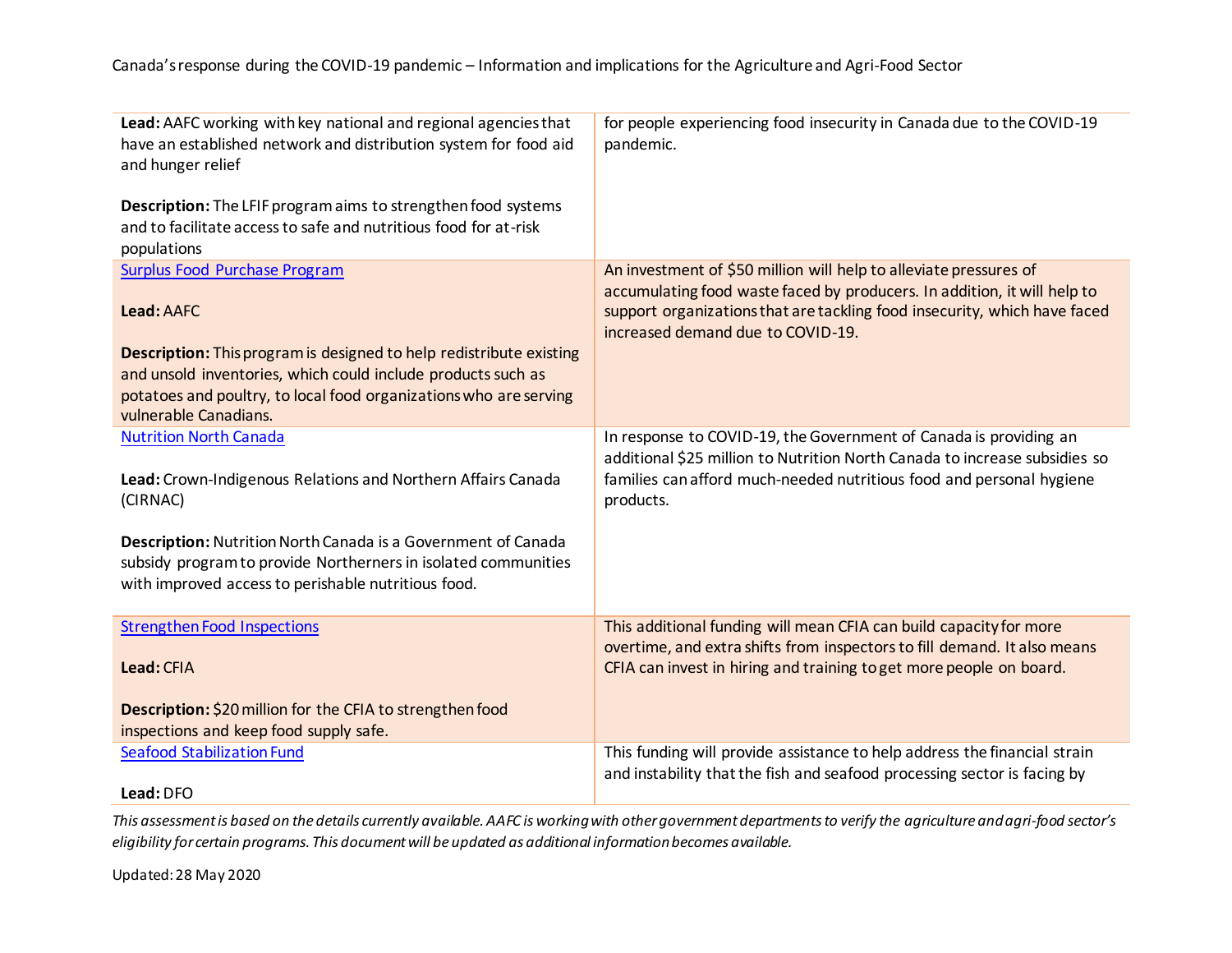| Surplus Food Purchase Program<br>An investment of \$50 million will help to alleviate pressures of<br>accumulating food waste faced by producers. In addition, it will help to<br>support organizations that are tackling food insecurity, which have faced<br>Lead: AAFC<br>increased demand due to COVID-19.<br><b>Description:</b> This program is designed to help redistribute existing<br>and unsold inventories, which could include products such as<br>potatoes and poultry, to local food organizations who are serving<br>vulnerable Canadians.<br><b>Nutrition North Canada</b><br>In response to COVID-19, the Government of Canada is providing an<br>additional \$25 million to Nutrition North Canada to increase subsidies so<br>families can afford much-needed nutritious food and personal hygiene<br>Lead: Crown-Indigenous Relations and Northern Affairs Canada<br>(CIRNAC)<br>products.<br>Description: Nutrition North Canada is a Government of Canada<br>subsidy program to provide Northerners in isolated communities<br>with improved access to perishable nutritious food.<br>This additional funding will mean CFIA can build capacity for more<br><b>Strengthen Food Inspections</b><br>overtime, and extra shifts from inspectors to fill demand. It also means<br>Lead: CFIA<br>CFIA can invest in hiring and training to get more people on board.<br>Description: \$20 million for the CFIA to strengthen food<br>inspections and keep food supply safe.<br>This funding will provide assistance to help address the financial strain<br><b>Seafood Stabilization Fund</b><br>and instability that the fish and seafood processing sector is facing by | Lead: AAFC working with key national and regional agencies that<br>have an established network and distribution system for food aid<br>and hunger relief<br><b>Description:</b> The LFIF program aims to strengthen food systems<br>and to facilitate access to safe and nutritious food for at-risk<br>populations | for people experiencing food insecurity in Canada due to the COVID-19<br>pandemic. |
|---------------------------------------------------------------------------------------------------------------------------------------------------------------------------------------------------------------------------------------------------------------------------------------------------------------------------------------------------------------------------------------------------------------------------------------------------------------------------------------------------------------------------------------------------------------------------------------------------------------------------------------------------------------------------------------------------------------------------------------------------------------------------------------------------------------------------------------------------------------------------------------------------------------------------------------------------------------------------------------------------------------------------------------------------------------------------------------------------------------------------------------------------------------------------------------------------------------------------------------------------------------------------------------------------------------------------------------------------------------------------------------------------------------------------------------------------------------------------------------------------------------------------------------------------------------------------------------------------------------------------------------------------------------------------------------------|---------------------------------------------------------------------------------------------------------------------------------------------------------------------------------------------------------------------------------------------------------------------------------------------------------------------|------------------------------------------------------------------------------------|
|                                                                                                                                                                                                                                                                                                                                                                                                                                                                                                                                                                                                                                                                                                                                                                                                                                                                                                                                                                                                                                                                                                                                                                                                                                                                                                                                                                                                                                                                                                                                                                                                                                                                                             |                                                                                                                                                                                                                                                                                                                     |                                                                                    |
|                                                                                                                                                                                                                                                                                                                                                                                                                                                                                                                                                                                                                                                                                                                                                                                                                                                                                                                                                                                                                                                                                                                                                                                                                                                                                                                                                                                                                                                                                                                                                                                                                                                                                             |                                                                                                                                                                                                                                                                                                                     |                                                                                    |
|                                                                                                                                                                                                                                                                                                                                                                                                                                                                                                                                                                                                                                                                                                                                                                                                                                                                                                                                                                                                                                                                                                                                                                                                                                                                                                                                                                                                                                                                                                                                                                                                                                                                                             |                                                                                                                                                                                                                                                                                                                     |                                                                                    |
|                                                                                                                                                                                                                                                                                                                                                                                                                                                                                                                                                                                                                                                                                                                                                                                                                                                                                                                                                                                                                                                                                                                                                                                                                                                                                                                                                                                                                                                                                                                                                                                                                                                                                             |                                                                                                                                                                                                                                                                                                                     |                                                                                    |
|                                                                                                                                                                                                                                                                                                                                                                                                                                                                                                                                                                                                                                                                                                                                                                                                                                                                                                                                                                                                                                                                                                                                                                                                                                                                                                                                                                                                                                                                                                                                                                                                                                                                                             |                                                                                                                                                                                                                                                                                                                     |                                                                                    |
|                                                                                                                                                                                                                                                                                                                                                                                                                                                                                                                                                                                                                                                                                                                                                                                                                                                                                                                                                                                                                                                                                                                                                                                                                                                                                                                                                                                                                                                                                                                                                                                                                                                                                             |                                                                                                                                                                                                                                                                                                                     |                                                                                    |
|                                                                                                                                                                                                                                                                                                                                                                                                                                                                                                                                                                                                                                                                                                                                                                                                                                                                                                                                                                                                                                                                                                                                                                                                                                                                                                                                                                                                                                                                                                                                                                                                                                                                                             | Lead: DFO                                                                                                                                                                                                                                                                                                           |                                                                                    |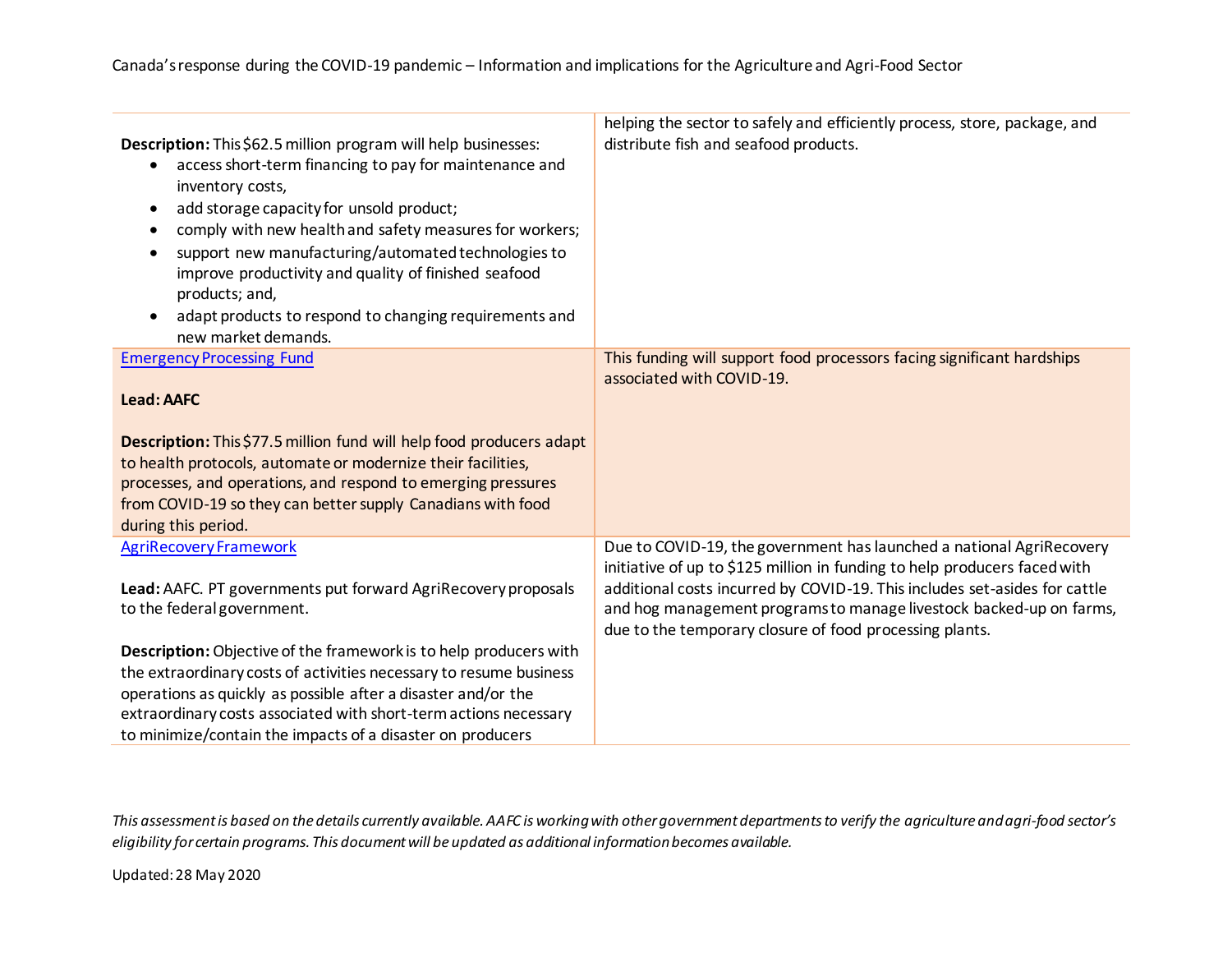| Description: This \$62.5 million program will help businesses:<br>access short-term financing to pay for maintenance and<br>inventory costs,<br>add storage capacity for unsold product;<br>٠<br>comply with new health and safety measures for workers;<br>support new manufacturing/automated technologies to<br>$\bullet$<br>improve productivity and quality of finished seafood<br>products; and,<br>adapt products to respond to changing requirements and<br>new market demands. | helping the sector to safely and efficiently process, store, package, and<br>distribute fish and seafood products.                                                                                                                                                                                                                                                |
|-----------------------------------------------------------------------------------------------------------------------------------------------------------------------------------------------------------------------------------------------------------------------------------------------------------------------------------------------------------------------------------------------------------------------------------------------------------------------------------------|-------------------------------------------------------------------------------------------------------------------------------------------------------------------------------------------------------------------------------------------------------------------------------------------------------------------------------------------------------------------|
| <b>Emergency Processing Fund</b><br><b>Lead: AAFC</b><br>Description: This \$77.5 million fund will help food producers adapt<br>to health protocols, automate or modernize their facilities,<br>processes, and operations, and respond to emerging pressures                                                                                                                                                                                                                           | This funding will support food processors facing significant hardships<br>associated with COVID-19.                                                                                                                                                                                                                                                               |
| from COVID-19 so they can better supply Canadians with food<br>during this period.                                                                                                                                                                                                                                                                                                                                                                                                      |                                                                                                                                                                                                                                                                                                                                                                   |
| <b>AgriRecovery Framework</b><br>Lead: AAFC. PT governments put forward AgriRecovery proposals<br>to the federal government.                                                                                                                                                                                                                                                                                                                                                            | Due to COVID-19, the government has launched a national AgriRecovery<br>initiative of up to \$125 million in funding to help producers faced with<br>additional costs incurred by COVID-19. This includes set-asides for cattle<br>and hog management programs to manage livestock backed-up on farms,<br>due to the temporary closure of food processing plants. |
| Description: Objective of the framework is to help producers with<br>the extraordinary costs of activities necessary to resume business<br>operations as quickly as possible after a disaster and/or the<br>extraordinary costs associated with short-term actions necessary<br>to minimize/contain the impacts of a disaster on producers                                                                                                                                              |                                                                                                                                                                                                                                                                                                                                                                   |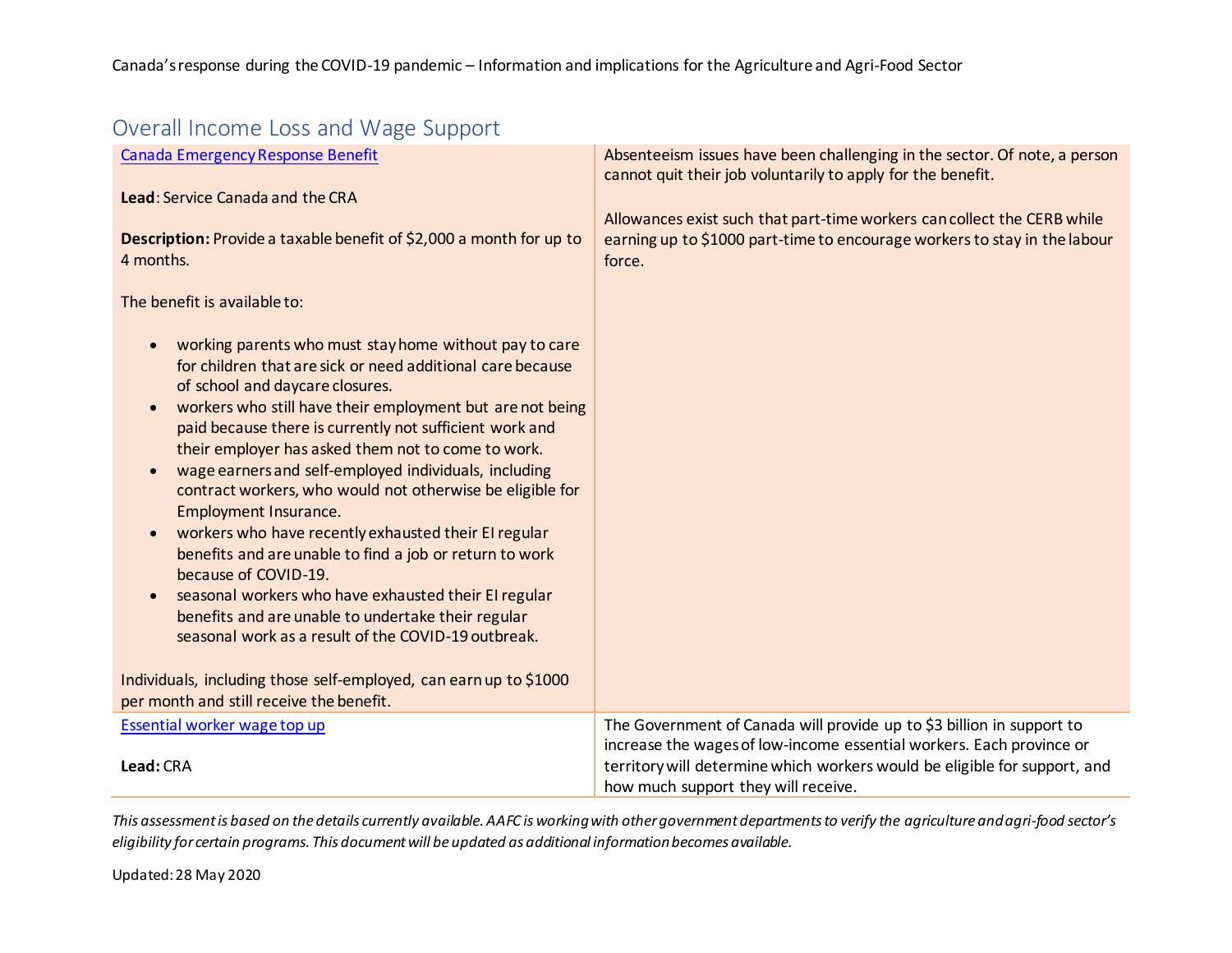| Overall Income Loss and Wage Support                                                                                                                                                                                                                                                                                                                                                                                                                                                                                                                                                                                                                                                                                                                                                                        |                                                                                                                                                                                                                                                                   |
|-------------------------------------------------------------------------------------------------------------------------------------------------------------------------------------------------------------------------------------------------------------------------------------------------------------------------------------------------------------------------------------------------------------------------------------------------------------------------------------------------------------------------------------------------------------------------------------------------------------------------------------------------------------------------------------------------------------------------------------------------------------------------------------------------------------|-------------------------------------------------------------------------------------------------------------------------------------------------------------------------------------------------------------------------------------------------------------------|
| <b>Canada Emergency Response Benefit</b><br>Lead: Service Canada and the CRA                                                                                                                                                                                                                                                                                                                                                                                                                                                                                                                                                                                                                                                                                                                                | Absenteeism issues have been challenging in the sector. Of note, a person<br>cannot quit their job voluntarily to apply for the benefit.                                                                                                                          |
| Description: Provide a taxable benefit of \$2,000 a month for up to<br>4 months.                                                                                                                                                                                                                                                                                                                                                                                                                                                                                                                                                                                                                                                                                                                            | Allowances exist such that part-time workers can collect the CERB while<br>earning up to \$1000 part-time to encourage workers to stay in the labour<br>force.                                                                                                    |
| The benefit is available to:                                                                                                                                                                                                                                                                                                                                                                                                                                                                                                                                                                                                                                                                                                                                                                                |                                                                                                                                                                                                                                                                   |
| working parents who must stay home without pay to care<br>for children that are sick or need additional care because<br>of school and daycare closures.<br>workers who still have their employment but are not being<br>paid because there is currently not sufficient work and<br>their employer has asked them not to come to work.<br>wage earners and self-employed individuals, including<br>contract workers, who would not otherwise be eligible for<br><b>Employment Insurance.</b><br>workers who have recently exhausted their EI regular<br>benefits and are unable to find a job or return to work<br>because of COVID-19.<br>seasonal workers who have exhausted their EI regular<br>benefits and are unable to undertake their regular<br>seasonal work as a result of the COVID-19 outbreak. |                                                                                                                                                                                                                                                                   |
| Individuals, including those self-employed, can earn up to \$1000<br>per month and still receive the benefit.                                                                                                                                                                                                                                                                                                                                                                                                                                                                                                                                                                                                                                                                                               |                                                                                                                                                                                                                                                                   |
| Essential worker wage top up<br>Lead: CRA                                                                                                                                                                                                                                                                                                                                                                                                                                                                                                                                                                                                                                                                                                                                                                   | The Government of Canada will provide up to \$3 billion in support to<br>increase the wages of low-income essential workers. Each province or<br>territory will determine which workers would be eligible for support, and<br>how much support they will receive. |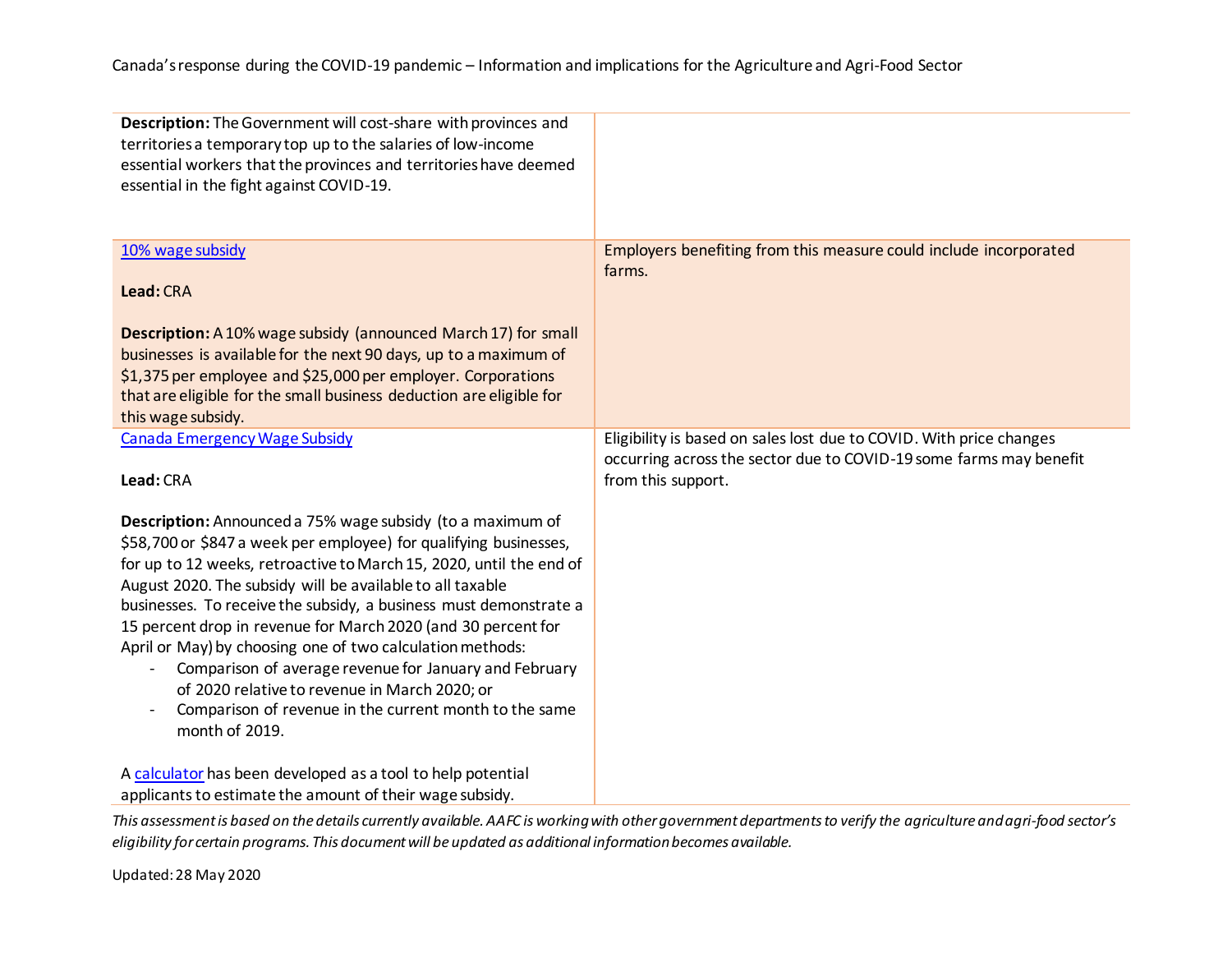| Description: The Government will cost-share with provinces and<br>territories a temporary top up to the salaries of low-income<br>essential workers that the provinces and territories have deemed<br>essential in the fight against COVID-19.                                                                                                                                                                                                                                                                                                                                                                                                                |                                                                                                                                                                 |
|---------------------------------------------------------------------------------------------------------------------------------------------------------------------------------------------------------------------------------------------------------------------------------------------------------------------------------------------------------------------------------------------------------------------------------------------------------------------------------------------------------------------------------------------------------------------------------------------------------------------------------------------------------------|-----------------------------------------------------------------------------------------------------------------------------------------------------------------|
| 10% wage subsidy<br>Lead: CRA                                                                                                                                                                                                                                                                                                                                                                                                                                                                                                                                                                                                                                 | Employers benefiting from this measure could include incorporated<br>farms.                                                                                     |
| Description: A 10% wage subsidy (announced March 17) for small<br>businesses is available for the next 90 days, up to a maximum of<br>\$1,375 per employee and \$25,000 per employer. Corporations<br>that are eligible for the small business deduction are eligible for<br>this wage subsidy.                                                                                                                                                                                                                                                                                                                                                               |                                                                                                                                                                 |
| <b>Canada Emergency Wage Subsidy</b><br>Lead: CRA                                                                                                                                                                                                                                                                                                                                                                                                                                                                                                                                                                                                             | Eligibility is based on sales lost due to COVID. With price changes<br>occurring across the sector due to COVID-19 some farms may benefit<br>from this support. |
| Description: Announced a 75% wage subsidy (to a maximum of<br>\$58,700 or \$847 a week per employee) for qualifying businesses,<br>for up to 12 weeks, retroactive to March 15, 2020, until the end of<br>August 2020. The subsidy will be available to all taxable<br>businesses. To receive the subsidy, a business must demonstrate a<br>15 percent drop in revenue for March 2020 (and 30 percent for<br>April or May) by choosing one of two calculation methods:<br>Comparison of average revenue for January and February<br>of 2020 relative to revenue in March 2020; or<br>Comparison of revenue in the current month to the same<br>month of 2019. |                                                                                                                                                                 |
| A calculator has been developed as a tool to help potential<br>applicants to estimate the amount of their wage subsidy.                                                                                                                                                                                                                                                                                                                                                                                                                                                                                                                                       |                                                                                                                                                                 |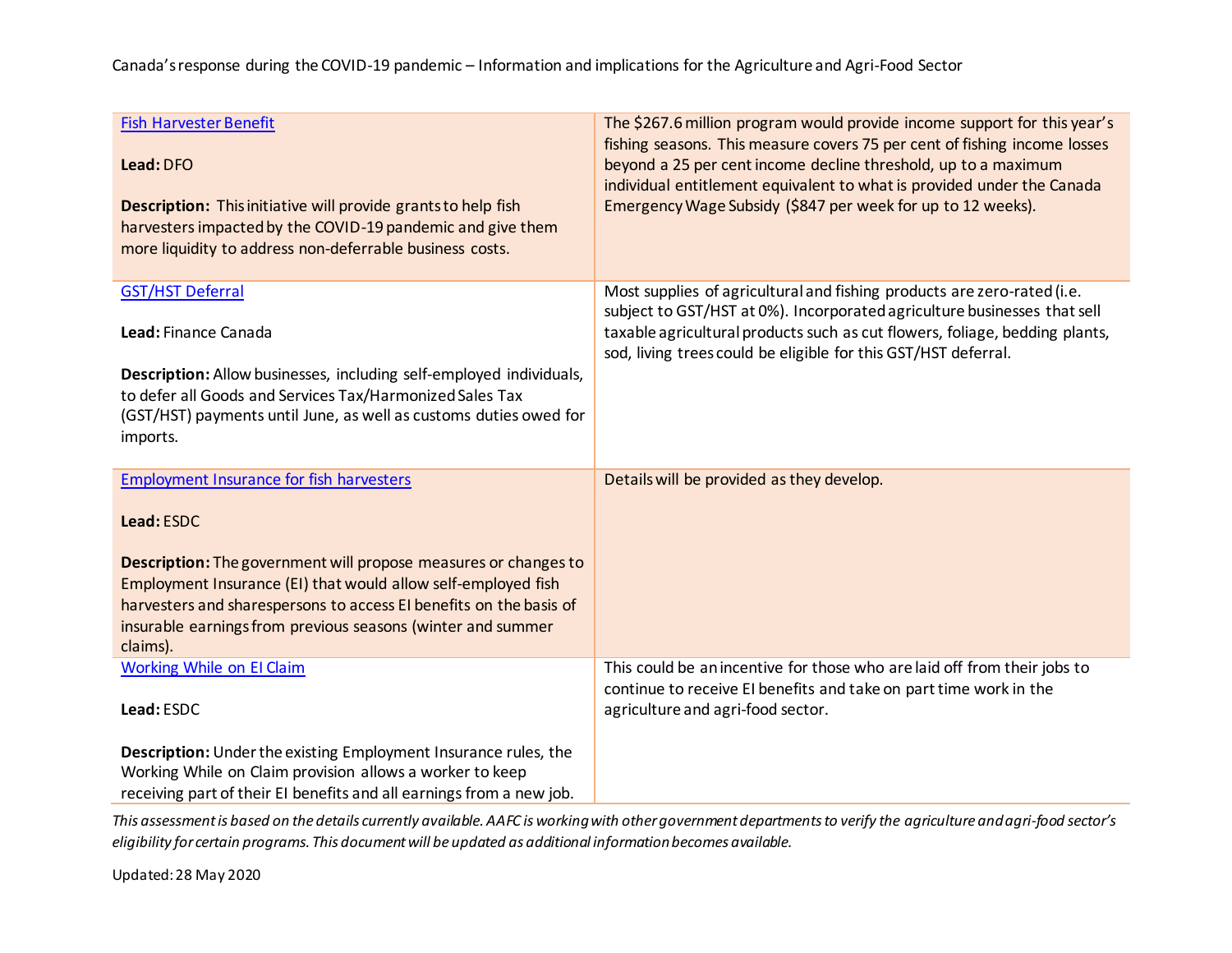#### Canada's response during the COVID-19 pandemic – Information and implications for the Agriculture and Agri-Food Sector

| <b>Fish Harvester Benefit</b><br>Lead: DFO<br>Description: This initiative will provide grants to help fish<br>harvesters impacted by the COVID-19 pandemic and give them<br>more liquidity to address non-deferrable business costs.                                                                                                                     | The \$267.6 million program would provide income support for this year's<br>fishing seasons. This measure covers 75 per cent of fishing income losses<br>beyond a 25 per cent income decline threshold, up to a maximum<br>individual entitlement equivalent to what is provided under the Canada<br>Emergency Wage Subsidy (\$847 per week for up to 12 weeks). |
|-----------------------------------------------------------------------------------------------------------------------------------------------------------------------------------------------------------------------------------------------------------------------------------------------------------------------------------------------------------|------------------------------------------------------------------------------------------------------------------------------------------------------------------------------------------------------------------------------------------------------------------------------------------------------------------------------------------------------------------|
| <b>GST/HST Deferral</b><br>Lead: Finance Canada<br>Description: Allow businesses, including self-employed individuals,<br>to defer all Goods and Services Tax/Harmonized Sales Tax<br>(GST/HST) payments until June, as well as customs duties owed for<br>imports.                                                                                       | Most supplies of agricultural and fishing products are zero-rated (i.e.<br>subject to GST/HST at 0%). Incorporated agriculture businesses that sell<br>taxable agricultural products such as cut flowers, foliage, bedding plants,<br>sod, living trees could be eligible for this GST/HST deferral.                                                             |
| <b>Employment Insurance for fish harvesters</b><br>Lead: ESDC<br><b>Description:</b> The government will propose measures or changes to<br>Employment Insurance (EI) that would allow self-employed fish<br>harvesters and sharespersons to access EI benefits on the basis of<br>insurable earnings from previous seasons (winter and summer<br>claims). | Details will be provided as they develop.                                                                                                                                                                                                                                                                                                                        |
| <b>Working While on El Claim</b><br>Lead: ESDC<br>Description: Under the existing Employment Insurance rules, the<br>Working While on Claim provision allows a worker to keep<br>receiving part of their EI benefits and all earnings from a new job.                                                                                                     | This could be an incentive for those who are laid off from their jobs to<br>continue to receive EI benefits and take on part time work in the<br>agriculture and agri-food sector.                                                                                                                                                                               |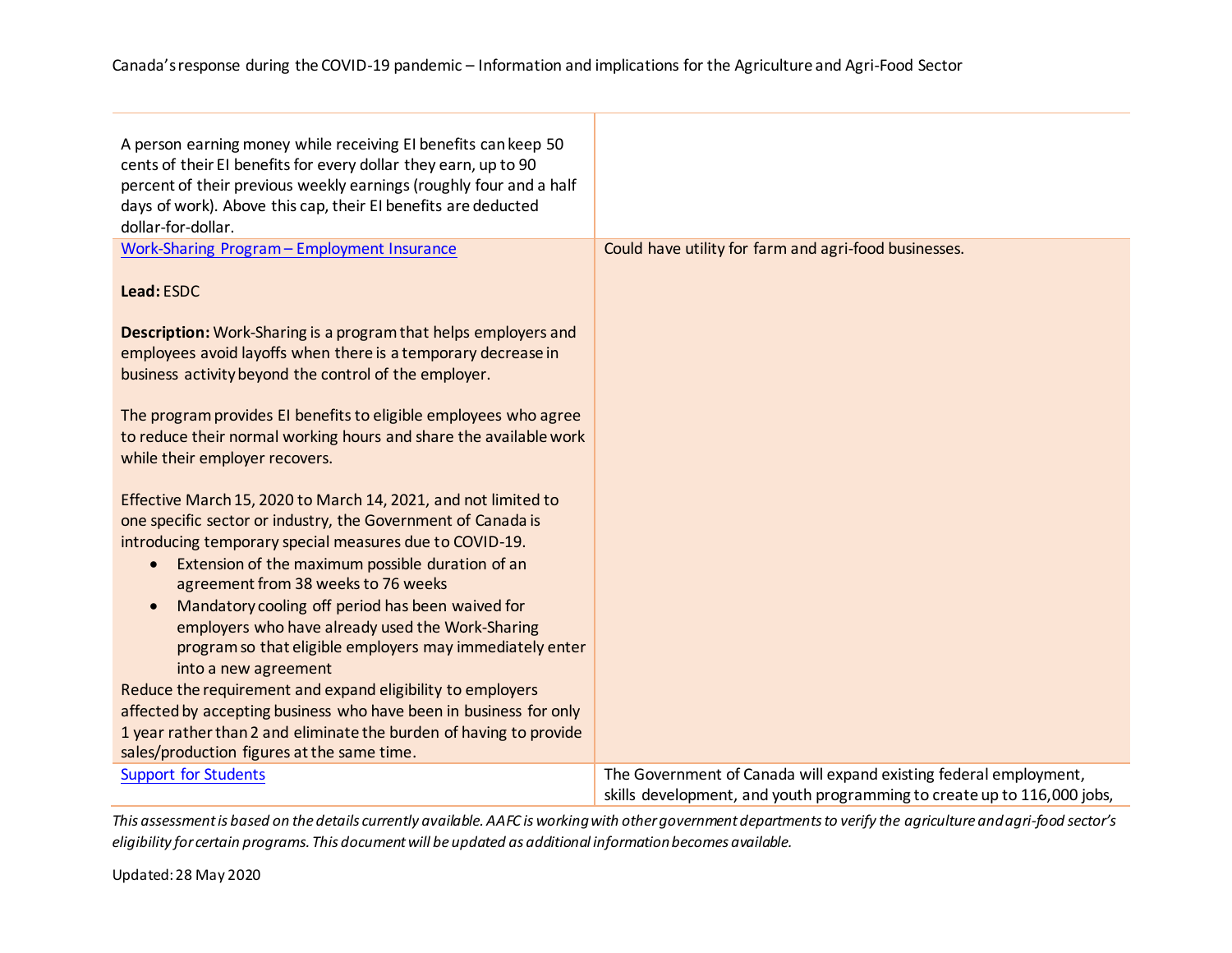| A person earning money while receiving EI benefits can keep 50<br>cents of their EI benefits for every dollar they earn, up to 90<br>percent of their previous weekly earnings (roughly four and a half<br>days of work). Above this cap, their EI benefits are deducted<br>dollar-for-dollar.                                                                                                                                                                                                             |                                                                                                                                              |
|------------------------------------------------------------------------------------------------------------------------------------------------------------------------------------------------------------------------------------------------------------------------------------------------------------------------------------------------------------------------------------------------------------------------------------------------------------------------------------------------------------|----------------------------------------------------------------------------------------------------------------------------------------------|
| Work-Sharing Program - Employment Insurance                                                                                                                                                                                                                                                                                                                                                                                                                                                                | Could have utility for farm and agri-food businesses.                                                                                        |
| Lead: ESDC                                                                                                                                                                                                                                                                                                                                                                                                                                                                                                 |                                                                                                                                              |
| <b>Description:</b> Work-Sharing is a program that helps employers and<br>employees avoid layoffs when there is a temporary decrease in<br>business activity beyond the control of the employer.                                                                                                                                                                                                                                                                                                           |                                                                                                                                              |
| The program provides EI benefits to eligible employees who agree<br>to reduce their normal working hours and share the available work<br>while their employer recovers.                                                                                                                                                                                                                                                                                                                                    |                                                                                                                                              |
| Effective March 15, 2020 to March 14, 2021, and not limited to<br>one specific sector or industry, the Government of Canada is<br>introducing temporary special measures due to COVID-19.<br>Extension of the maximum possible duration of an<br>$\bullet$<br>agreement from 38 weeks to 76 weeks<br>Mandatory cooling off period has been waived for<br>$\bullet$<br>employers who have already used the Work-Sharing<br>program so that eligible employers may immediately enter<br>into a new agreement |                                                                                                                                              |
| Reduce the requirement and expand eligibility to employers<br>affected by accepting business who have been in business for only                                                                                                                                                                                                                                                                                                                                                                            |                                                                                                                                              |
| 1 year rather than 2 and eliminate the burden of having to provide<br>sales/production figures at the same time.                                                                                                                                                                                                                                                                                                                                                                                           |                                                                                                                                              |
| <b>Support for Students</b>                                                                                                                                                                                                                                                                                                                                                                                                                                                                                | The Government of Canada will expand existing federal employment,<br>skills development, and youth programming to create up to 116,000 jobs, |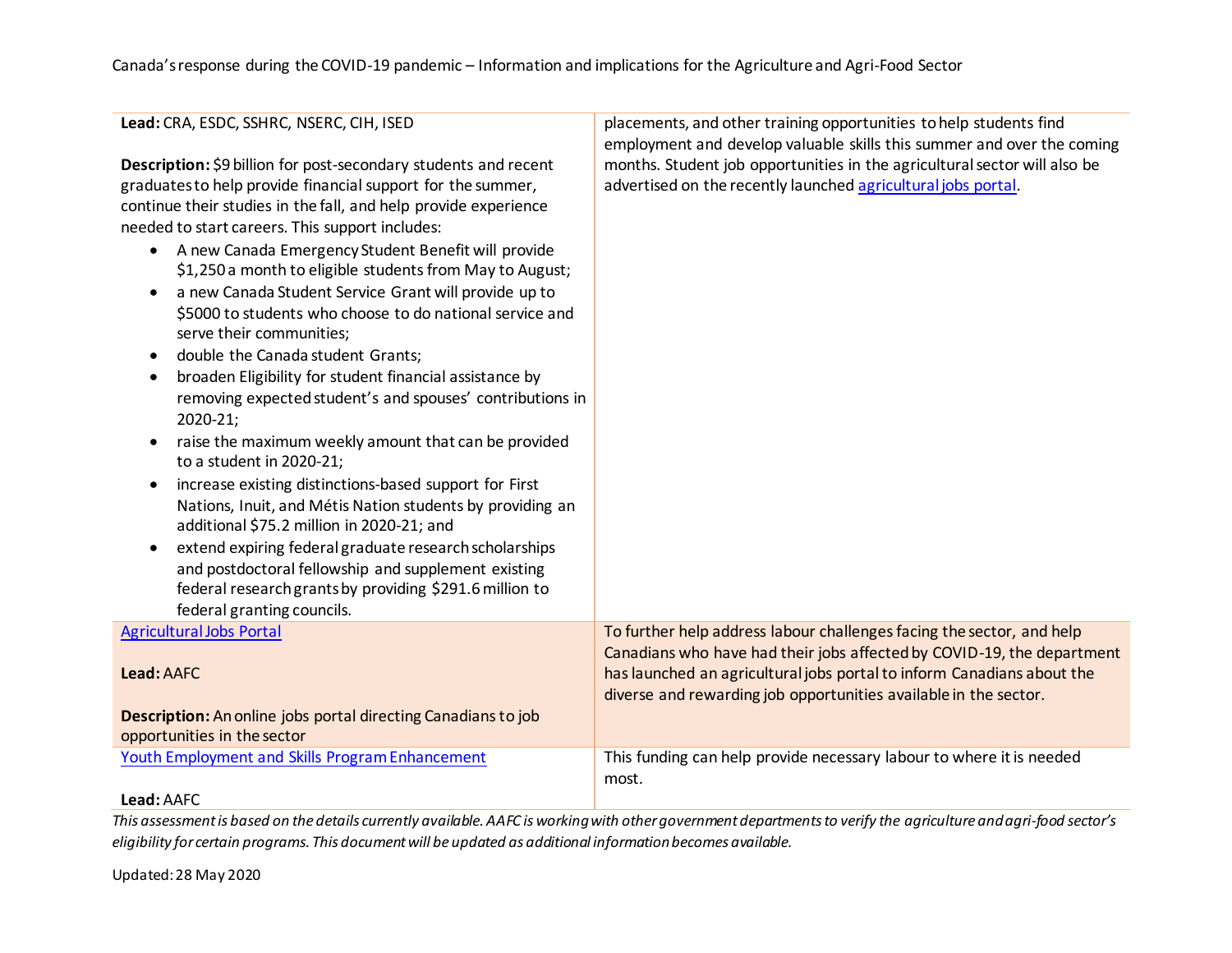| Lead: CRA, ESDC, SSHRC, NSERC, CIH, ISED                                                                                                                                                                                                                                                                                                                                                                                                                                                                                                                                                                                                                                                                                          | placements, and other training opportunities to help students find                                                                                                                                                   |
|-----------------------------------------------------------------------------------------------------------------------------------------------------------------------------------------------------------------------------------------------------------------------------------------------------------------------------------------------------------------------------------------------------------------------------------------------------------------------------------------------------------------------------------------------------------------------------------------------------------------------------------------------------------------------------------------------------------------------------------|----------------------------------------------------------------------------------------------------------------------------------------------------------------------------------------------------------------------|
| Description: \$9 billion for post-secondary students and recent<br>graduates to help provide financial support for the summer,<br>continue their studies in the fall, and help provide experience<br>needed to start careers. This support includes:<br>A new Canada Emergency Student Benefit will provide<br>٠<br>\$1,250 a month to eligible students from May to August;<br>a new Canada Student Service Grant will provide up to<br>$\bullet$<br>\$5000 to students who choose to do national service and<br>serve their communities;<br>double the Canada student Grants;<br>$\bullet$<br>broaden Eligibility for student financial assistance by<br>$\bullet$<br>removing expected student's and spouses' contributions in | employment and develop valuable skills this summer and over the coming<br>months. Student job opportunities in the agricultural sector will also be<br>advertised on the recently launched agricultural jobs portal. |
| 2020-21;<br>raise the maximum weekly amount that can be provided<br>to a student in 2020-21;                                                                                                                                                                                                                                                                                                                                                                                                                                                                                                                                                                                                                                      |                                                                                                                                                                                                                      |
| increase existing distinctions-based support for First<br>Nations, Inuit, and Métis Nation students by providing an<br>additional \$75.2 million in 2020-21; and                                                                                                                                                                                                                                                                                                                                                                                                                                                                                                                                                                  |                                                                                                                                                                                                                      |
| extend expiring federal graduate research scholarships<br>$\bullet$<br>and postdoctoral fellowship and supplement existing<br>federal research grants by providing \$291.6 million to<br>federal granting councils.                                                                                                                                                                                                                                                                                                                                                                                                                                                                                                               |                                                                                                                                                                                                                      |
| <b>Agricultural Jobs Portal</b>                                                                                                                                                                                                                                                                                                                                                                                                                                                                                                                                                                                                                                                                                                   | To further help address labour challenges facing the sector, and help                                                                                                                                                |
| Lead: AAFC                                                                                                                                                                                                                                                                                                                                                                                                                                                                                                                                                                                                                                                                                                                        | Canadians who have had their jobs affected by COVID-19, the department<br>has launched an agricultural jobs portal to inform Canadians about the<br>diverse and rewarding job opportunities available in the sector. |
| <b>Description:</b> An online jobs portal directing Canadians to job<br>opportunities in the sector                                                                                                                                                                                                                                                                                                                                                                                                                                                                                                                                                                                                                               |                                                                                                                                                                                                                      |
| Youth Employment and Skills Program Enhancement                                                                                                                                                                                                                                                                                                                                                                                                                                                                                                                                                                                                                                                                                   | This funding can help provide necessary labour to where it is needed                                                                                                                                                 |
| Lead: AAFC                                                                                                                                                                                                                                                                                                                                                                                                                                                                                                                                                                                                                                                                                                                        | most.                                                                                                                                                                                                                |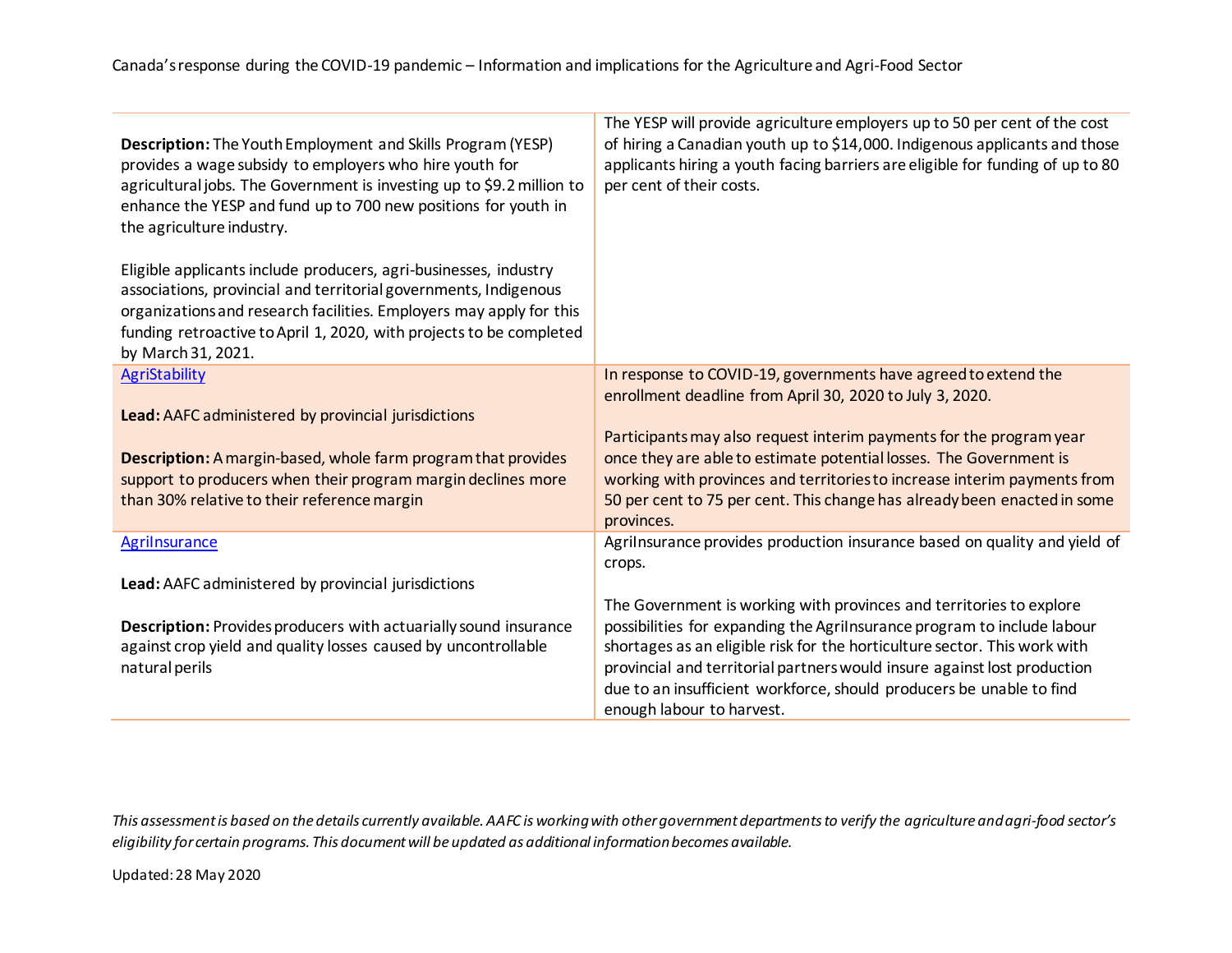| Description: The Youth Employment and Skills Program (YESP)<br>provides a wage subsidy to employers who hire youth for<br>agricultural jobs. The Government is investing up to \$9.2 million to<br>enhance the YESP and fund up to 700 new positions for youth in<br>the agriculture industry.           | The YESP will provide agriculture employers up to 50 per cent of the cost<br>of hiring a Canadian youth up to \$14,000. Indigenous applicants and those<br>applicants hiring a youth facing barriers are eligible for funding of up to 80<br>per cent of their costs. |
|----------------------------------------------------------------------------------------------------------------------------------------------------------------------------------------------------------------------------------------------------------------------------------------------------------|-----------------------------------------------------------------------------------------------------------------------------------------------------------------------------------------------------------------------------------------------------------------------|
| Eligible applicants include producers, agri-businesses, industry<br>associations, provincial and territorial governments, Indigenous<br>organizations and research facilities. Employers may apply for this<br>funding retroactive to April 1, 2020, with projects to be completed<br>by March 31, 2021. |                                                                                                                                                                                                                                                                       |
| <b>AgriStability</b>                                                                                                                                                                                                                                                                                     | In response to COVID-19, governments have agreed to extend the                                                                                                                                                                                                        |
| Lead: AAFC administered by provincial jurisdictions                                                                                                                                                                                                                                                      | enrollment deadline from April 30, 2020 to July 3, 2020.<br>Participants may also request interim payments for the program year                                                                                                                                       |
| Description: A margin-based, whole farm program that provides                                                                                                                                                                                                                                            | once they are able to estimate potential losses. The Government is                                                                                                                                                                                                    |
| support to producers when their program margin declines more                                                                                                                                                                                                                                             | working with provinces and territories to increase interim payments from                                                                                                                                                                                              |
| than 30% relative to their reference margin                                                                                                                                                                                                                                                              | 50 per cent to 75 per cent. This change has already been enacted in some<br>provinces.                                                                                                                                                                                |
| <b>Agrilnsurance</b>                                                                                                                                                                                                                                                                                     | Agrilnsurance provides production insurance based on quality and yield of                                                                                                                                                                                             |
|                                                                                                                                                                                                                                                                                                          | crops.                                                                                                                                                                                                                                                                |
| Lead: AAFC administered by provincial jurisdictions                                                                                                                                                                                                                                                      |                                                                                                                                                                                                                                                                       |
| Description: Provides producers with actuarially sound insurance                                                                                                                                                                                                                                         | The Government is working with provinces and territories to explore<br>possibilities for expanding the AgriInsurance program to include labour                                                                                                                        |
| against crop yield and quality losses caused by uncontrollable                                                                                                                                                                                                                                           | shortages as an eligible risk for the horticulture sector. This work with                                                                                                                                                                                             |
| natural perils                                                                                                                                                                                                                                                                                           | provincial and territorial partners would insure against lost production                                                                                                                                                                                              |
|                                                                                                                                                                                                                                                                                                          | due to an insufficient workforce, should producers be unable to find                                                                                                                                                                                                  |
|                                                                                                                                                                                                                                                                                                          | enough labour to harvest.                                                                                                                                                                                                                                             |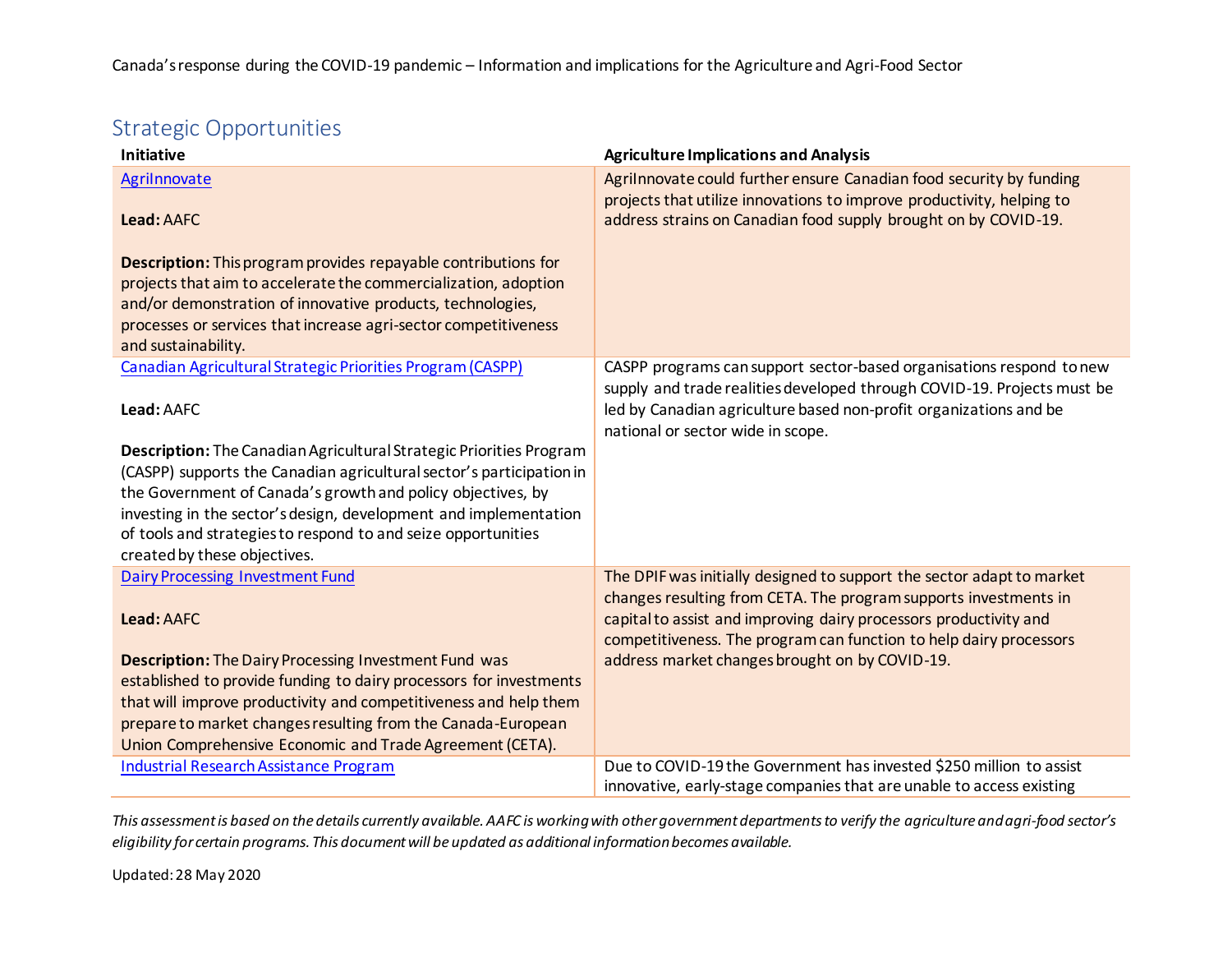# Strategic Opportunities

| <b>Initiative</b>                                                                                                                   | <b>Agriculture Implications and Analysis</b>                                                                                                                                                                    |
|-------------------------------------------------------------------------------------------------------------------------------------|-----------------------------------------------------------------------------------------------------------------------------------------------------------------------------------------------------------------|
| Agrilnnovate<br>Lead: AAFC                                                                                                          | Agrilnnovate could further ensure Canadian food security by funding<br>projects that utilize innovations to improve productivity, helping to<br>address strains on Canadian food supply brought on by COVID-19. |
|                                                                                                                                     |                                                                                                                                                                                                                 |
| <b>Description:</b> This program provides repayable contributions for                                                               |                                                                                                                                                                                                                 |
| projects that aim to accelerate the commercialization, adoption<br>and/or demonstration of innovative products, technologies,       |                                                                                                                                                                                                                 |
| processes or services that increase agri-sector competitiveness                                                                     |                                                                                                                                                                                                                 |
| and sustainability.                                                                                                                 |                                                                                                                                                                                                                 |
| Canadian Agricultural Strategic Priorities Program (CASPP)                                                                          | CASPP programs can support sector-based organisations respond to new                                                                                                                                            |
|                                                                                                                                     | supply and trade realities developed through COVID-19. Projects must be                                                                                                                                         |
| Lead: AAFC                                                                                                                          | led by Canadian agriculture based non-profit organizations and be                                                                                                                                               |
|                                                                                                                                     | national or sector wide in scope.                                                                                                                                                                               |
| Description: The Canadian Agricultural Strategic Priorities Program                                                                 |                                                                                                                                                                                                                 |
| (CASPP) supports the Canadian agricultural sector's participation in<br>the Government of Canada's growth and policy objectives, by |                                                                                                                                                                                                                 |
| investing in the sector's design, development and implementation                                                                    |                                                                                                                                                                                                                 |
| of tools and strategies to respond to and seize opportunities                                                                       |                                                                                                                                                                                                                 |
| created by these objectives.                                                                                                        |                                                                                                                                                                                                                 |
| <b>Dairy Processing Investment Fund</b>                                                                                             | The DPIF was initially designed to support the sector adapt to market                                                                                                                                           |
| Lead: AAFC                                                                                                                          | changes resulting from CETA. The program supports investments in<br>capital to assist and improving dairy processors productivity and                                                                           |
|                                                                                                                                     | competitiveness. The program can function to help dairy processors                                                                                                                                              |
| <b>Description:</b> The Dairy Processing Investment Fund was                                                                        | address market changes brought on by COVID-19.                                                                                                                                                                  |
| established to provide funding to dairy processors for investments                                                                  |                                                                                                                                                                                                                 |
| that will improve productivity and competitiveness and help them                                                                    |                                                                                                                                                                                                                 |
| prepare to market changes resulting from the Canada-European                                                                        |                                                                                                                                                                                                                 |
| Union Comprehensive Economic and Trade Agreement (CETA).                                                                            |                                                                                                                                                                                                                 |
| <b>Industrial Research Assistance Program</b>                                                                                       | Due to COVID-19 the Government has invested \$250 million to assist                                                                                                                                             |
|                                                                                                                                     | innovative, early-stage companies that are unable to access existing                                                                                                                                            |